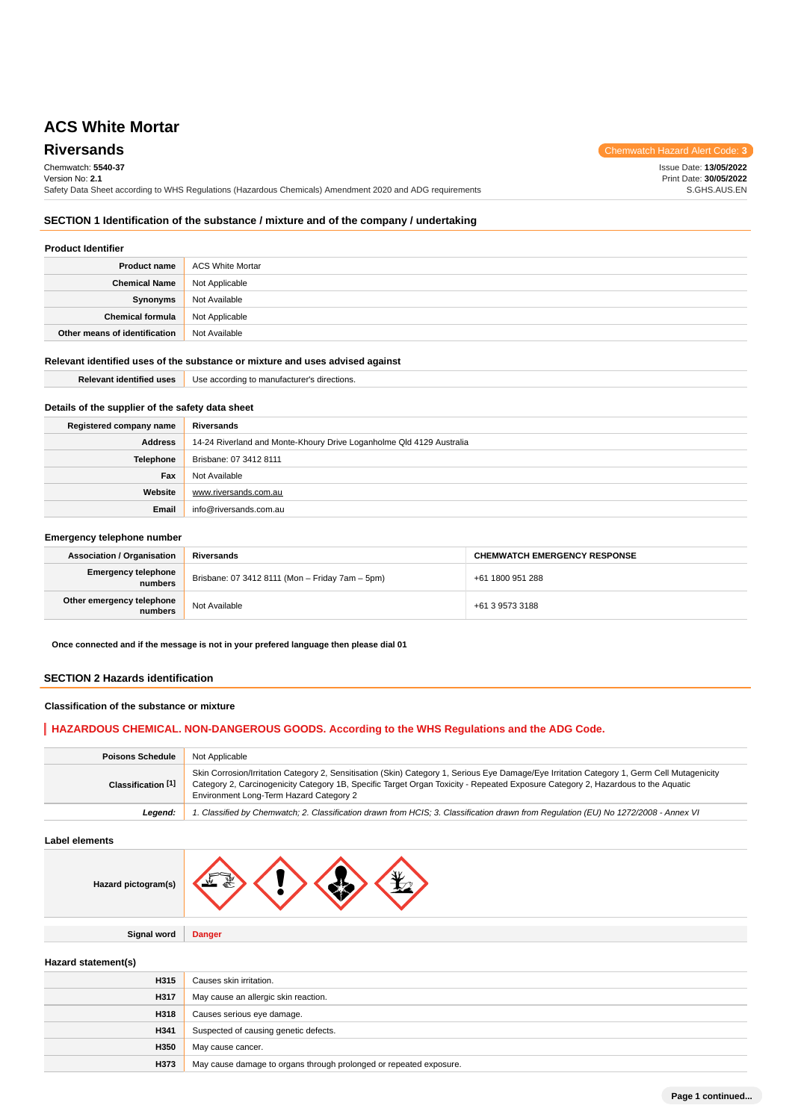**Riversands** Chemwatch Hazard Alert Code: 3 Chemwatch: **5540-37** Version No: **2.1** Safety Data Sheet according to WHS Regulations (Hazardous Chemicals) Amendment 2020 and ADG requirements Issue Date: **13/05/2022** Print Date: **30/05/2022** S.GHS.AUS.EN

# **SECTION 1 Identification of the substance / mixture and of the company / undertaking**

# **Product Identifier**

| <b>Product name</b>           | ACS White Mortar |
|-------------------------------|------------------|
| <b>Chemical Name</b>          | Not Applicable   |
| <b>Synonyms</b>               | Not Available    |
| <b>Chemical formula</b>       | Not Applicable   |
| Other means of identification | Not Available    |

# **Relevant identified uses of the substance or mixture and uses advised against**

**Email** info@riversands.com.au

| <b>Relevant identified uses</b>                  | Use according to manufacturer's directions.                          |  |
|--------------------------------------------------|----------------------------------------------------------------------|--|
| Details of the supplier of the safety data sheet |                                                                      |  |
|                                                  |                                                                      |  |
| Registered company name                          | Riversands                                                           |  |
| <b>Address</b>                                   | 14-24 Riverland and Monte-Khoury Drive Loganholme Qld 4129 Australia |  |
| Telephone                                        | Brisbane: 07 3412 8111                                               |  |
| Fax                                              | Not Available                                                        |  |
| Website                                          | www.riversands.com.au                                                |  |

#### **Emergency telephone number**

| <b>Association / Organisation</b>     | Riversands                                      | <b>CHEMWATCH EMERGENCY RESPONSE</b> |
|---------------------------------------|-------------------------------------------------|-------------------------------------|
| <b>Emergency telephone</b><br>numbers | Brisbane: 07 3412 8111 (Mon - Friday 7am - 5pm) | +61 1800 951 288                    |
| Other emergency telephone<br>numbers  | Not Available                                   | +61 3 9573 3188                     |

**Once connected and if the message is not in your prefered language then please dial 01**

#### **SECTION 2 Hazards identification**

## **Classification of the substance or mixture**

# **HAZARDOUS CHEMICAL. NON-DANGEROUS GOODS. According to the WHS Regulations and the ADG Code.**

| <b>Poisons Schedule</b> | Not Applicable                                                                                                                                                                                                                                                                                                             |
|-------------------------|----------------------------------------------------------------------------------------------------------------------------------------------------------------------------------------------------------------------------------------------------------------------------------------------------------------------------|
| Classification [1]      | Skin Corrosion/Irritation Category 2, Sensitisation (Skin) Category 1, Serious Eye Damage/Eye Irritation Category 1, Germ Cell Mutagenicity<br>Category 2, Carcinogenicity Category 1B, Specific Target Organ Toxicity - Repeated Exposure Category 2, Hazardous to the Aquatic<br>Environment Long-Term Hazard Category 2 |
| Leaend:                 | 1. Classified by Chemwatch; 2. Classification drawn from HCIS; 3. Classification drawn from Requlation (EU) No 1272/2008 - Annex VI                                                                                                                                                                                        |

#### **Label elements**

| ard pictogram(s) |  |  |  |  |  |
|------------------|--|--|--|--|--|
|------------------|--|--|--|--|--|

**Signal word Danger**

### **Hazard statement(s)**

**Hazard pictogram(s)**

| H315 | Causes skin irritation.                                            |
|------|--------------------------------------------------------------------|
| H317 | May cause an allergic skin reaction.                               |
| H318 | Causes serious eye damage.                                         |
| H341 | Suspected of causing genetic defects.                              |
| H350 | May cause cancer.                                                  |
| H373 | May cause damage to organs through prolonged or repeated exposure. |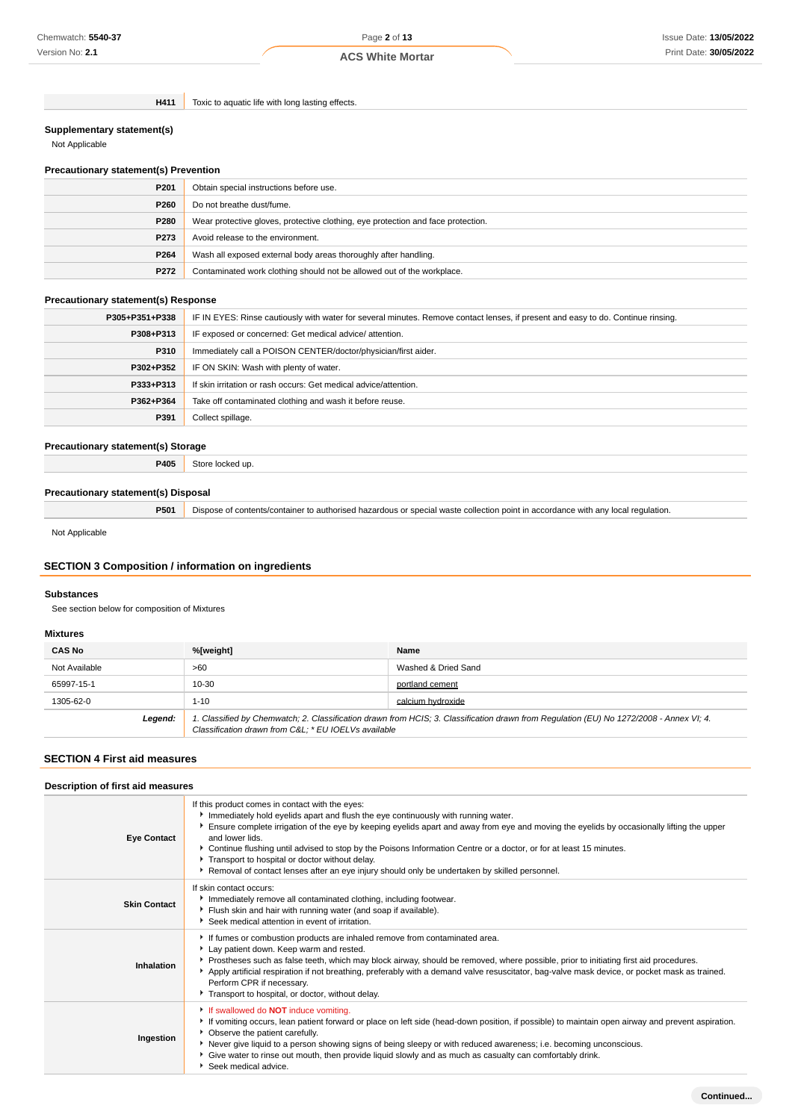**H411** Toxic to aquatic life with long lasting effects.

#### **Supplementary statement(s)**

Not Applicable

# **Precautionary statement(s) Prevention**

| P <sub>201</sub> | Obtain special instructions before use.                                          |
|------------------|----------------------------------------------------------------------------------|
| P260             | Do not breathe dust/fume.                                                        |
| P280             | Wear protective gloves, protective clothing, eye protection and face protection. |
| P273             | Avoid release to the environment.                                                |
| P264             | Wash all exposed external body areas thoroughly after handling.                  |
| P272             | Contaminated work clothing should not be allowed out of the workplace.           |

### **Precautionary statement(s) Response**

| P305+P351+P338 | IF IN EYES: Rinse cautiously with water for several minutes. Remove contact lenses, if present and easy to do. Continue rinsing. |
|----------------|----------------------------------------------------------------------------------------------------------------------------------|
| P308+P313      | IF exposed or concerned: Get medical advice/attention.                                                                           |
| P310           | Immediately call a POISON CENTER/doctor/physician/first aider.                                                                   |
| P302+P352      | IF ON SKIN: Wash with plenty of water.                                                                                           |
| P333+P313      | If skin irritation or rash occurs: Get medical advice/attention.                                                                 |
| P362+P364      | Take off contaminated clothing and wash it before reuse.                                                                         |
| P391           | Collect spillage.                                                                                                                |

#### **Precautionary statement(s) Storage**

**P405** Store locked up.

#### **Precautionary statement(s) Disposal**

**P501** Dispose of contents/container to authorised hazardous or special waste collection point in accordance with any local regulation.

Not Applicable

# **SECTION 3 Composition / information on ingredients**

# **Substances**

See section below for composition of Mixtures

#### **Mixtures**

| <b>CAS No</b> | %[weight]                                           | Name                                                                                                                                    |
|---------------|-----------------------------------------------------|-----------------------------------------------------------------------------------------------------------------------------------------|
| Not Available | >60                                                 | Washed & Dried Sand                                                                                                                     |
| 65997-15-1    | 10-30                                               | portland cement                                                                                                                         |
| 1305-62-0     | $1 - 10$                                            | calcium hydroxide                                                                                                                       |
| Legend:       | Classification drawn from C&L * EU IOELVs available | 1. Classified by Chemwatch; 2. Classification drawn from HCIS; 3. Classification drawn from Regulation (EU) No 1272/2008 - Annex VI; 4. |

# **SECTION 4 First aid measures**

| Description of first aid measures |                                                                                                                                                                                                                                                                                                                                                                                                                                                                                                                                                                                   |  |
|-----------------------------------|-----------------------------------------------------------------------------------------------------------------------------------------------------------------------------------------------------------------------------------------------------------------------------------------------------------------------------------------------------------------------------------------------------------------------------------------------------------------------------------------------------------------------------------------------------------------------------------|--|
| <b>Eye Contact</b>                | If this product comes in contact with the eyes:<br>Immediately hold eyelids apart and flush the eye continuously with running water.<br>Ensure complete irrigation of the eye by keeping eyelids apart and away from eye and moving the eyelids by occasionally lifting the upper<br>and lower lids.<br>▶ Continue flushing until advised to stop by the Poisons Information Centre or a doctor, or for at least 15 minutes.<br>Transport to hospital or doctor without delay.<br>▶ Removal of contact lenses after an eye injury should only be undertaken by skilled personnel. |  |
| <b>Skin Contact</b>               | If skin contact occurs:<br>Immediately remove all contaminated clothing, including footwear.<br>Flush skin and hair with running water (and soap if available).<br>Seek medical attention in event of irritation.                                                                                                                                                                                                                                                                                                                                                                 |  |
| Inhalation                        | If fumes or combustion products are inhaled remove from contaminated area.<br>Lay patient down. Keep warm and rested.<br>▶ Prostheses such as false teeth, which may block airway, should be removed, where possible, prior to initiating first aid procedures.<br>Apply artificial respiration if not breathing, preferably with a demand valve resuscitator, bag-valve mask device, or pocket mask as trained.<br>Perform CPR if necessary.<br>Transport to hospital, or doctor, without delay.                                                                                 |  |
| Ingestion                         | If swallowed do <b>NOT</b> induce vomiting.<br>If vomiting occurs, lean patient forward or place on left side (head-down position, if possible) to maintain open airway and prevent aspiration.<br>• Observe the patient carefully.<br>Never give liquid to a person showing signs of being sleepy or with reduced awareness; i.e. becoming unconscious.<br>Give water to rinse out mouth, then provide liquid slowly and as much as casualty can comfortably drink.<br>Seek medical advice.                                                                                      |  |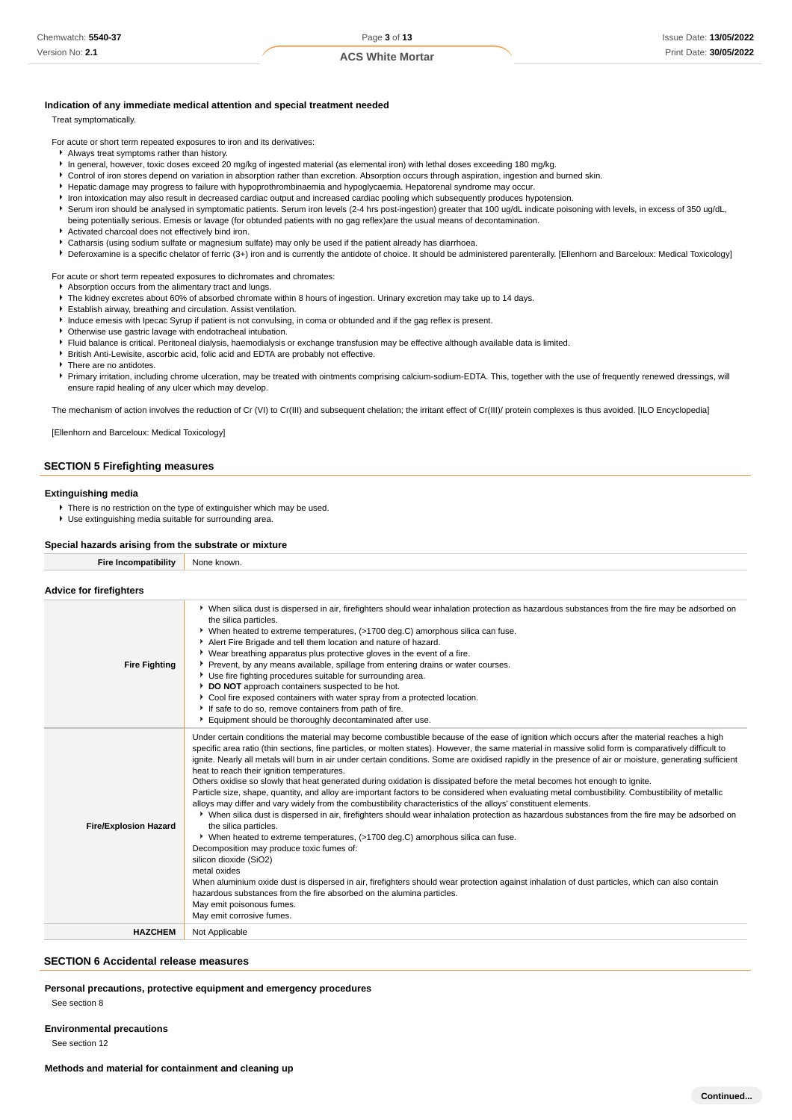#### **Indication of any immediate medical attention and special treatment needed**

Treat symptomatically.

For acute or short term repeated exposures to iron and its derivatives:

- Always treat symptoms rather than history.
- In general, however, toxic doses exceed 20 mg/kg of ingested material (as elemental iron) with lethal doses exceeding 180 mg/kg.
- Control of iron stores depend on variation in absorption rather than excretion. Absorption occurs through aspiration, ingestion and burned skin.
- Hepatic damage may progress to failure with hypoprothrombinaemia and hypoglycaemia. Hepatorenal syndrome may occur.
- In Iron intoxication may also result in decreased cardiac output and increased cardiac pooling which subsequently produces hypotension.
- Serum iron should be analysed in symptomatic patients. Serum iron levels (2-4 hrs post-ingestion) greater that 100 ug/dL indicate poisoning with levels, in excess of 350 ug/dL, being potentially serious. Emesis or lavage (for obtunded patients with no gag reflex)are the usual means of decontamination.
- Activated charcoal does not effectively bind iron.
- Catharsis (using sodium sulfate or magnesium sulfate) may only be used if the patient already has diarrhoea.
- ▶ Deferoxamine is a specific chelator of ferric (3+) iron and is currently the antidote of choice. It should be administered parenterally. [Ellenhorn and Barceloux: Medical Toxicology]

For acute or short term repeated exposures to dichromates and chromates:

- Absorption occurs from the alimentary tract and lungs.
- The kidney excretes about 60% of absorbed chromate within 8 hours of ingestion. Urinary excretion may take up to 14 days.
- Establish airway, breathing and circulation. Assist ventilation.
- Induce emesis with Ipecac Syrup if patient is not convulsing, in coma or obtunded and if the gag reflex is present.
- Otherwise use gastric lavage with endotracheal intubation.
- Fluid balance is critical. Peritoneal dialysis, haemodialysis or exchange transfusion may be effective although available data is limited.
- British Anti-Lewisite, ascorbic acid, folic acid and EDTA are probably not effective.
- **F** There are no antidotes

Primary irritation, including chrome ulceration, may be treated with ointments comprising calcium-sodium-EDTA. This, together with the use of frequently renewed dressings, will ensure rapid healing of any ulcer which may develop.

The mechanism of action involves the reduction of Cr (VI) to Cr(III) and subsequent chelation; the irritant effect of Cr(III)/ protein complexes is thus avoided. [ILO Encyclopedia]

[Ellenhorn and Barceloux: Medical Toxicology]

#### **SECTION 5 Firefighting measures**

#### **Extinguishing media**

- There is no restriction on the type of extinguisher which may be used.
- Use extinguishing media suitable for surrounding area.

#### **Special hazards arising from the substrate or mixture**

**Fire Incompatibility** None known.

#### **Advice for firefighters**

| <b>Fire Fighting</b>         | ▶ When silica dust is dispersed in air, firefighters should wear inhalation protection as hazardous substances from the fire may be adsorbed on<br>the silica particles.<br>• When heated to extreme temperatures, (>1700 deg.C) amorphous silica can fuse.<br>Alert Fire Brigade and tell them location and nature of hazard.<br>• Wear breathing apparatus plus protective gloves in the event of a fire.<br>▶ Prevent, by any means available, spillage from entering drains or water courses.<br>Use fire fighting procedures suitable for surrounding area.<br>DO NOT approach containers suspected to be hot.<br>Cool fire exposed containers with water spray from a protected location.<br>If safe to do so, remove containers from path of fire.<br>Equipment should be thoroughly decontaminated after use.                                                                                                                                                                                                                                                                                                                                                                                                                                                                                                                                                                                                                                                                                                                                           |
|------------------------------|-----------------------------------------------------------------------------------------------------------------------------------------------------------------------------------------------------------------------------------------------------------------------------------------------------------------------------------------------------------------------------------------------------------------------------------------------------------------------------------------------------------------------------------------------------------------------------------------------------------------------------------------------------------------------------------------------------------------------------------------------------------------------------------------------------------------------------------------------------------------------------------------------------------------------------------------------------------------------------------------------------------------------------------------------------------------------------------------------------------------------------------------------------------------------------------------------------------------------------------------------------------------------------------------------------------------------------------------------------------------------------------------------------------------------------------------------------------------------------------------------------------------------------------------------------------------|
| <b>Fire/Explosion Hazard</b> | Under certain conditions the material may become combustible because of the ease of ignition which occurs after the material reaches a high<br>specific area ratio (thin sections, fine particles, or molten states). However, the same material in massive solid form is comparatively difficult to<br>ignite. Nearly all metals will burn in air under certain conditions. Some are oxidised rapidly in the presence of air or moisture, generating sufficient<br>heat to reach their ignition temperatures.<br>Others oxidise so slowly that heat generated during oxidation is dissipated before the metal becomes hot enough to ignite.<br>Particle size, shape, quantity, and alloy are important factors to be considered when evaluating metal combustibility. Combustibility of metallic<br>alloys may differ and vary widely from the combustibility characteristics of the alloys' constituent elements.<br>▶ When silica dust is dispersed in air, firefighters should wear inhalation protection as hazardous substances from the fire may be adsorbed on<br>the silica particles.<br>▶ When heated to extreme temperatures, (>1700 deg.C) amorphous silica can fuse.<br>Decomposition may produce toxic fumes of:<br>silicon dioxide (SiO2)<br>metal oxides<br>When aluminium oxide dust is dispersed in air, firefighters should wear protection against inhalation of dust particles, which can also contain<br>hazardous substances from the fire absorbed on the alumina particles.<br>May emit poisonous fumes.<br>May emit corrosive fumes. |
| <b>HAZCHEM</b>               | Not Applicable                                                                                                                                                                                                                                                                                                                                                                                                                                                                                                                                                                                                                                                                                                                                                                                                                                                                                                                                                                                                                                                                                                                                                                                                                                                                                                                                                                                                                                                                                                                                                  |

#### **SECTION 6 Accidental release measures**

**Personal precautions, protective equipment and emergency procedures**

See section 8

**Environmental precautions**

See section 12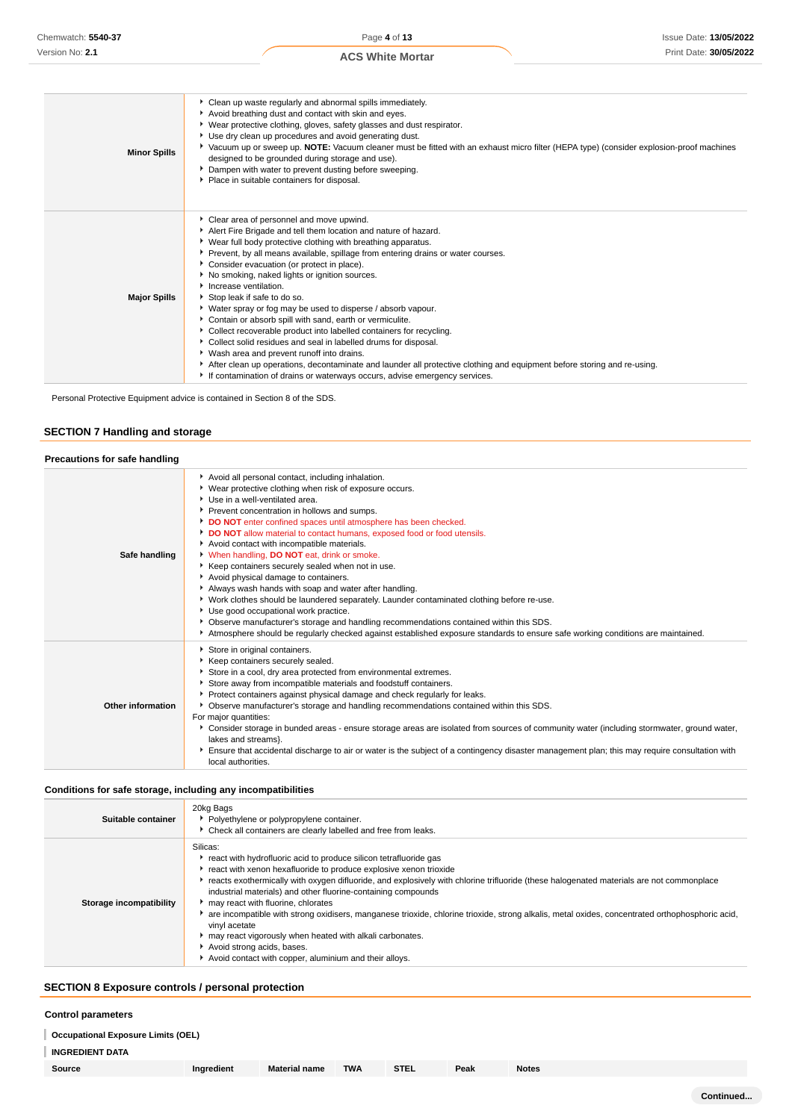| <b>Minor Spills</b> | • Clean up waste regularly and abnormal spills immediately.<br>Avoid breathing dust and contact with skin and eyes.<br>▶ Wear protective clothing, gloves, safety glasses and dust respirator.<br>Use dry clean up procedures and avoid generating dust.<br>▶ Vacuum up or sweep up. NOTE: Vacuum cleaner must be fitted with an exhaust micro filter (HEPA type) (consider explosion-proof machines<br>designed to be grounded during storage and use).<br>Dampen with water to prevent dusting before sweeping.<br>Place in suitable containers for disposal.                                                                                                                                                                                                                                                                                                                                                                                             |
|---------------------|-------------------------------------------------------------------------------------------------------------------------------------------------------------------------------------------------------------------------------------------------------------------------------------------------------------------------------------------------------------------------------------------------------------------------------------------------------------------------------------------------------------------------------------------------------------------------------------------------------------------------------------------------------------------------------------------------------------------------------------------------------------------------------------------------------------------------------------------------------------------------------------------------------------------------------------------------------------|
| <b>Major Spills</b> | Clear area of personnel and move upwind.<br>Alert Fire Brigade and tell them location and nature of hazard.<br>• Wear full body protective clothing with breathing apparatus.<br>Prevent, by all means available, spillage from entering drains or water courses.<br>Consider evacuation (or protect in place).<br>▶ No smoking, naked lights or ignition sources.<br>Increase ventilation.<br>Stop leak if safe to do so.<br>• Water spray or fog may be used to disperse / absorb vapour.<br>Contain or absorb spill with sand, earth or vermiculite.<br>• Collect recoverable product into labelled containers for recycling.<br>Collect solid residues and seal in labelled drums for disposal.<br>▶ Wash area and prevent runoff into drains.<br>After clean up operations, decontaminate and launder all protective clothing and equipment before storing and re-using.<br>If contamination of drains or waterways occurs, advise emergency services. |

Personal Protective Equipment advice is contained in Section 8 of the SDS.

# **SECTION 7 Handling and storage**

| Precautions for safe handling |                                                                                                                                                                                                                                                                                                                                                                                                                                                                                                                                                                                                                                                                                                                                                                                                                                                                                                                                                                         |
|-------------------------------|-------------------------------------------------------------------------------------------------------------------------------------------------------------------------------------------------------------------------------------------------------------------------------------------------------------------------------------------------------------------------------------------------------------------------------------------------------------------------------------------------------------------------------------------------------------------------------------------------------------------------------------------------------------------------------------------------------------------------------------------------------------------------------------------------------------------------------------------------------------------------------------------------------------------------------------------------------------------------|
| Safe handling                 | Avoid all personal contact, including inhalation.<br>▶ Wear protective clothing when risk of exposure occurs.<br>▶ Use in a well-ventilated area.<br>Prevent concentration in hollows and sumps.<br>DO NOT enter confined spaces until atmosphere has been checked.<br>DO NOT allow material to contact humans, exposed food or food utensils.<br>Avoid contact with incompatible materials.<br>V When handling, DO NOT eat, drink or smoke.<br>Keep containers securely sealed when not in use.<br>Avoid physical damage to containers.<br>Always wash hands with soap and water after handling.<br>▶ Work clothes should be laundered separately. Launder contaminated clothing before re-use.<br>Use good occupational work practice.<br>▶ Observe manufacturer's storage and handling recommendations contained within this SDS.<br>Atmosphere should be regularly checked against established exposure standards to ensure safe working conditions are maintained. |
| Other information             | Store in original containers.<br>▶ Keep containers securely sealed.<br>Store in a cool, dry area protected from environmental extremes.<br>Store away from incompatible materials and foodstuff containers.<br>▶ Protect containers against physical damage and check regularly for leaks.<br>▶ Observe manufacturer's storage and handling recommendations contained within this SDS.<br>For major quantities:<br>> Consider storage in bunded areas - ensure storage areas are isolated from sources of community water (including stormwater, ground water,<br>lakes and streams}.<br>Ensure that accidental discharge to air or water is the subject of a contingency disaster management plan; this may require consultation with<br>local authorities.                                                                                                                                                                                                            |

#### **Conditions for safe storage, including any incompatibilities**

| Suitable container      | 20kg Bags<br>• Polyethylene or polypropylene container.<br>• Check all containers are clearly labelled and free from leaks.                                                                                                                                                                                                                                                                                                                                                                                                                                                                                                                                                                                                     |
|-------------------------|---------------------------------------------------------------------------------------------------------------------------------------------------------------------------------------------------------------------------------------------------------------------------------------------------------------------------------------------------------------------------------------------------------------------------------------------------------------------------------------------------------------------------------------------------------------------------------------------------------------------------------------------------------------------------------------------------------------------------------|
| Storage incompatibility | Silicas:<br>react with hydrofluoric acid to produce silicon tetrafluoride gas<br>react with xenon hexafluoride to produce explosive xenon trioxide<br>reacts exothermically with oxygen difluoride, and explosively with chlorine trifluoride (these halogenated materials are not commonplace<br>industrial materials) and other fluorine-containing compounds<br>may react with fluorine, chlorates<br>▶ are incompatible with strong oxidisers, manganese trioxide, chlorine trioxide, strong alkalis, metal oxides, concentrated orthophosphoric acid,<br>vinyl acetate<br>may react vigorously when heated with alkali carbonates.<br>Avoid strong acids, bases.<br>Avoid contact with copper, aluminium and their alloys. |

# **SECTION 8 Exposure controls / personal protection**

#### **Control parameters**

**Occupational Exposure Limits (OEL)**

**INGREDIENT DATA**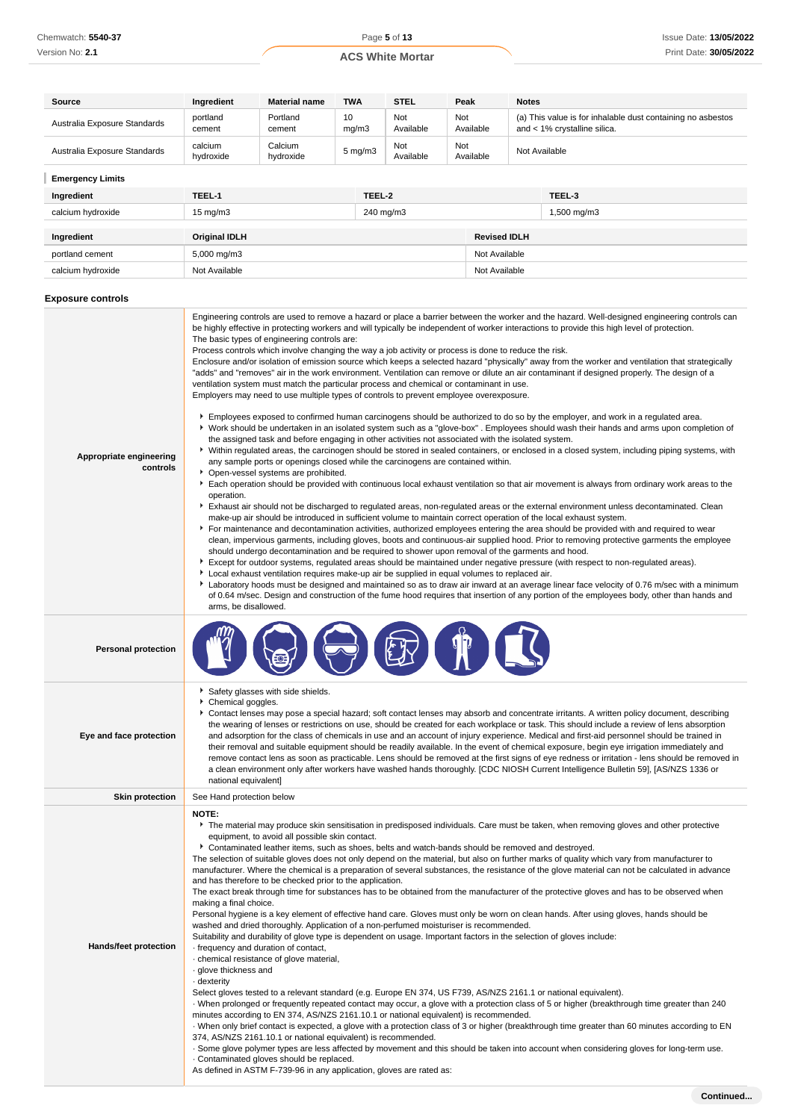| Source                       | Ingredient           | <b>Material name</b> | <b>TWA</b>  |                    | <b>STEL</b>      | Peak |                     | <b>Notes</b> |                                                                                             |
|------------------------------|----------------------|----------------------|-------------|--------------------|------------------|------|---------------------|--------------|---------------------------------------------------------------------------------------------|
| Australia Exposure Standards | portland<br>cement   | Portland<br>cement   | 10<br>mg/m3 |                    | Not<br>Available | Not  | Available           |              | (a) This value is for inhalable dust containing no asbestos<br>and < 1% crystalline silica. |
| Australia Exposure Standards | calcium<br>hydroxide | Calcium<br>hydroxide |             | $5 \text{ mg/m}$ 3 | Not<br>Available | Not  | Available           |              | Not Available                                                                               |
| <b>Emergency Limits</b>      |                      |                      |             |                    |                  |      |                     |              |                                                                                             |
| Ingredient                   | TEEL-1               |                      |             | TEEL-2             |                  |      |                     |              | TEEL-3                                                                                      |
| calcium hydroxide            | $15 \text{ mg/m}$    |                      |             | 240 mg/m3          |                  |      |                     |              | 1,500 mg/m3                                                                                 |
|                              |                      |                      |             |                    |                  |      |                     |              |                                                                                             |
| Ingredient                   | <b>Original IDLH</b> |                      |             |                    |                  |      | <b>Revised IDLH</b> |              |                                                                                             |
| portland cement              | 5,000 mg/m3          |                      |             |                    |                  |      | Not Available       |              |                                                                                             |
| calcium hydroxide            | Not Available        |                      |             |                    |                  |      | Not Available       |              |                                                                                             |
| <b>Exposure controls</b>     |                      |                      |             |                    |                  |      |                     |              |                                                                                             |

#### **Appropriate engineering controls** Engineering controls are used to remove a hazard or place a barrier between the worker and the hazard. Well-designed engineering controls can be highly effective in protecting workers and will typically be independent of worker interactions to provide this high level of protection. The basic types of engineering controls are: Process controls which involve changing the way a job activity or process is done to reduce the risk. Enclosure and/or isolation of emission source which keeps a selected hazard "physically" away from the worker and ventilation that strategically "adds" and "removes" air in the work environment. Ventilation can remove or dilute an air contaminant if designed properly. The design of a ventilation system must match the particular process and chemical or contaminant in use. Employers may need to use multiple types of controls to prevent employee overexposure. **F** Employees exposed to confirmed human carcinogens should be authorized to do so by the employer, and work in a regulated area. Work should be undertaken in an isolated system such as a "glove-box" . Employees should wash their hands and arms upon completion of the assigned task and before engaging in other activities not associated with the isolated system. Within regulated areas, the carcinogen should be stored in sealed containers, or enclosed in a closed system, including piping systems, with any sample ports or openings closed while the carcinogens are contained within. **Doen-vessel systems are prohibited.** Each operation should be provided with continuous local exhaust ventilation so that air movement is always from ordinary work areas to the operation. Exhaust air should not be discharged to regulated areas, non-regulated areas or the external environment unless decontaminated. Clean make-up air should be introduced in sufficient volume to maintain correct operation of the local exhaust system. For maintenance and decontamination activities, authorized employees entering the area should be provided with and required to wear clean, impervious garments, including gloves, boots and continuous-air supplied hood. Prior to removing protective garments the employee should undergo decontamination and be required to shower upon removal of the garments and hood. Except for outdoor systems, regulated areas should be maintained under negative pressure (with respect to non-regulated areas). **Local exhaust ventilation requires make-up air be supplied in equal volumes to replaced air.** ▶ Laboratory hoods must be designed and maintained so as to draw air inward at an average linear face velocity of 0.76 m/sec with a minimum of 0.64 m/sec. Design and construction of the fume hood requires that insertion of any portion of the employees body, other than hands and arms, be disallowed. **Personal protection Eye and face protection** Safety glasses with side shields. Chemical goggles. Contact lenses may pose a special hazard; soft contact lenses may absorb and concentrate irritants. A written policy document, describing the wearing of lenses or restrictions on use, should be created for each workplace or task. This should include a review of lens absorption and adsorption for the class of chemicals in use and an account of injury experience. Medical and first-aid personnel should be trained in their removal and suitable equipment should be readily available. In the event of chemical exposure, begin eye irrigation immediately and remove contact lens as soon as practicable. Lens should be removed at the first signs of eye redness or irritation - lens should be removed in a clean environment only after workers have washed hands thoroughly. [CDC NIOSH Current Intelligence Bulletin 59], [AS/NZS 1336 or national equivalent] **Skin protection** See Hand protection below **Hands/feet protection NOTE: F** The material may produce skin sensitisation in predisposed individuals. Care must be taken, when removing gloves and other protective equipment, to avoid all possible skin contact. Contaminated leather items, such as shoes, belts and watch-bands should be removed and destroyed. The selection of suitable gloves does not only depend on the material, but also on further marks of quality which vary from manufacturer to manufacturer. Where the chemical is a preparation of several substances, the resistance of the glove material can not be calculated in advance and has therefore to be checked prior to the application. The exact break through time for substances has to be obtained from the manufacturer of the protective gloves and has to be observed when making a final choice. Personal hygiene is a key element of effective hand care. Gloves must only be worn on clean hands. After using gloves, hands should be washed and dried thoroughly. Application of a non-perfumed moisturiser is recommended. Suitability and durability of glove type is dependent on usage. Important factors in the selection of gloves include: · frequency and duration of contact, · chemical resistance of glove material, · glove thickness and · dexterity Select gloves tested to a relevant standard (e.g. Europe EN 374, US F739, AS/NZS 2161.1 or national equivalent). · When prolonged or frequently repeated contact may occur, a glove with a protection class of 5 or higher (breakthrough time greater than 240 minutes according to EN 374, AS/NZS 2161.10.1 or national equivalent) is recommended. · When only brief contact is expected, a glove with a protection class of 3 or higher (breakthrough time greater than 60 minutes according to EN 374, AS/NZS 2161.10.1 or national equivalent) is recommended. · Some glove polymer types are less affected by movement and this should be taken into account when considering gloves for long-term use. · Contaminated gloves should be replaced. As defined in ASTM F-739-96 in any application, gloves are rated as: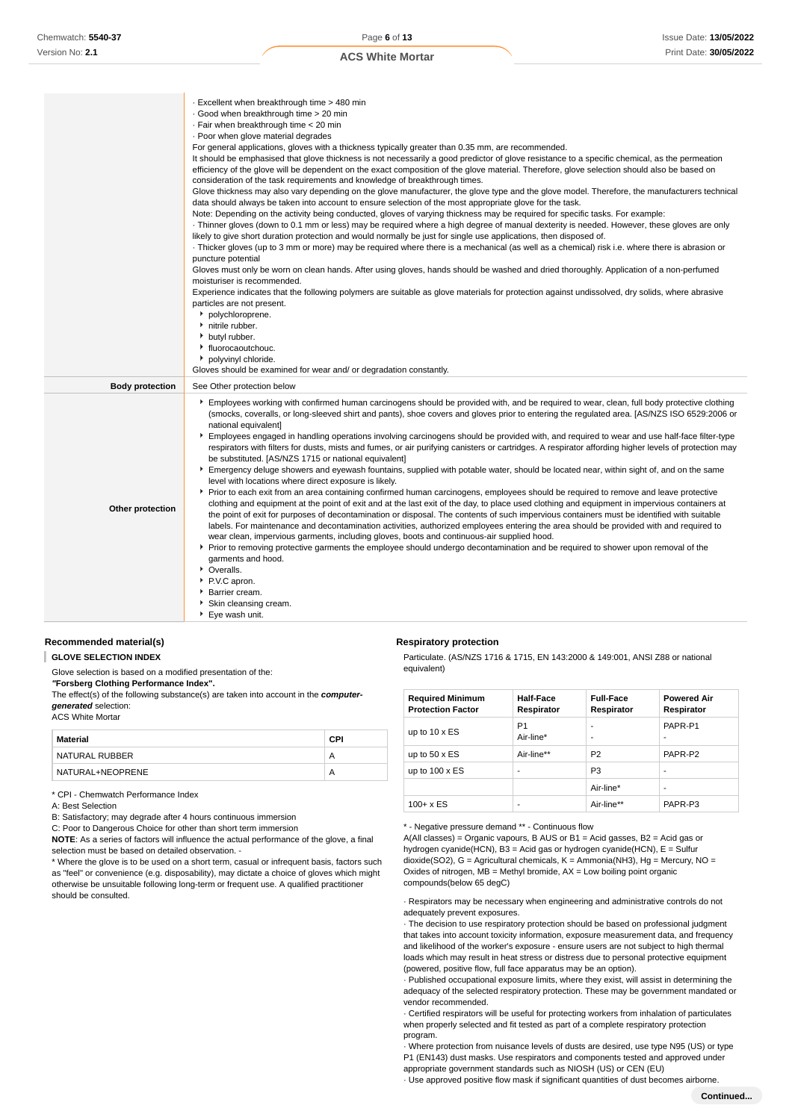|  | <b>ACS White Mortar</b> |  |
|--|-------------------------|--|
|  |                         |  |

|                        | Excellent when breakthrough time > 480 min                                                                                                                                                                                                |
|------------------------|-------------------------------------------------------------------------------------------------------------------------------------------------------------------------------------------------------------------------------------------|
|                        | Good when breakthrough time > 20 min                                                                                                                                                                                                      |
|                        | · Fair when breakthrough time < 20 min                                                                                                                                                                                                    |
|                        | . Poor when glove material degrades                                                                                                                                                                                                       |
|                        | For general applications, gloves with a thickness typically greater than 0.35 mm, are recommended.                                                                                                                                        |
|                        | It should be emphasised that glove thickness is not necessarily a good predictor of glove resistance to a specific chemical, as the permeation                                                                                            |
|                        | efficiency of the glove will be dependent on the exact composition of the glove material. Therefore, glove selection should also be based on                                                                                              |
|                        | consideration of the task requirements and knowledge of breakthrough times.                                                                                                                                                               |
|                        | Glove thickness may also vary depending on the glove manufacturer, the glove type and the glove model. Therefore, the manufacturers technical                                                                                             |
|                        | data should always be taken into account to ensure selection of the most appropriate glove for the task.<br>Note: Depending on the activity being conducted, gloves of varying thickness may be required for specific tasks. For example: |
|                        | Thinner gloves (down to 0.1 mm or less) may be required where a high degree of manual dexterity is needed. However, these gloves are only                                                                                                 |
|                        | likely to give short duration protection and would normally be just for single use applications, then disposed of.                                                                                                                        |
|                        | · Thicker gloves (up to 3 mm or more) may be required where there is a mechanical (as well as a chemical) risk i.e. where there is abrasion or                                                                                            |
|                        | puncture potential                                                                                                                                                                                                                        |
|                        | Gloves must only be worn on clean hands. After using gloves, hands should be washed and dried thoroughly. Application of a non-perfumed                                                                                                   |
|                        | moisturiser is recommended.                                                                                                                                                                                                               |
|                        | Experience indicates that the following polymers are suitable as glove materials for protection against undissolved, dry solids, where abrasive                                                                                           |
|                        | particles are not present.                                                                                                                                                                                                                |
|                        | polychloroprene.                                                                                                                                                                                                                          |
|                        | <sup>*</sup> nitrile rubber.                                                                                                                                                                                                              |
|                        | butyl rubber.                                                                                                                                                                                                                             |
|                        | • fluorocaoutchouc.                                                                                                                                                                                                                       |
|                        |                                                                                                                                                                                                                                           |
|                        | polyvinyl chloride.                                                                                                                                                                                                                       |
|                        | Gloves should be examined for wear and/ or degradation constantly.                                                                                                                                                                        |
| <b>Body protection</b> | See Other protection below                                                                                                                                                                                                                |
|                        | Employees working with confirmed human carcinogens should be provided with, and be required to wear, clean, full body protective clothing                                                                                                 |
|                        | (smocks, coveralls, or long-sleeved shirt and pants), shoe covers and gloves prior to entering the regulated area. [AS/NZS ISO 6529:2006 or                                                                                               |
|                        | national equivalent]                                                                                                                                                                                                                      |
|                        | Employees engaged in handling operations involving carcinogens should be provided with, and required to wear and use half-face filter-type                                                                                                |
|                        | respirators with filters for dusts, mists and fumes, or air purifying canisters or cartridges. A respirator affording higher levels of protection may                                                                                     |
|                        | be substituted. [AS/NZS 1715 or national equivalent]                                                                                                                                                                                      |
|                        | Emergency deluge showers and eyewash fountains, supplied with potable water, should be located near, within sight of, and on the same                                                                                                     |
|                        | level with locations where direct exposure is likely.                                                                                                                                                                                     |
|                        | ▶ Prior to each exit from an area containing confirmed human carcinogens, employees should be required to remove and leave protective                                                                                                     |
| Other protection       | clothing and equipment at the point of exit and at the last exit of the day, to place used clothing and equipment in impervious containers at                                                                                             |
|                        | the point of exit for purposes of decontamination or disposal. The contents of such impervious containers must be identified with suitable                                                                                                |
|                        | labels. For maintenance and decontamination activities, authorized employees entering the area should be provided with and required to                                                                                                    |
|                        | wear clean, impervious garments, including gloves, boots and continuous-air supplied hood.                                                                                                                                                |
|                        | ▶ Prior to removing protective garments the employee should undergo decontamination and be required to shower upon removal of the                                                                                                         |
|                        | garments and hood.                                                                                                                                                                                                                        |
|                        | • Overalls.                                                                                                                                                                                                                               |
|                        | ▶ P.V.C apron.                                                                                                                                                                                                                            |
|                        | ▶ Barrier cream.<br>Skin cleansing cream.                                                                                                                                                                                                 |

#### **Recommended material(s)**

**GLOVE SELECTION INDEX**

Glove selection is based on a modified presentation of the:

**"Forsberg Clothing Performance Index".**

The effect(s) of the following substance(s) are taken into account in the **computergenerated** selection:

ACS White Mortar

| Material         | CPI |
|------------------|-----|
| NATURAL RUBBER   | А   |
| NATURAL+NEOPRENE | A   |

\* CPI - Chemwatch Performance Index

A: Best Selection

B: Satisfactory; may degrade after 4 hours continuous immersion

C: Poor to Dangerous Choice for other than short term immersion

**NOTE**: As a series of factors will influence the actual performance of the glove, a final selection must be based on detailed observation. -

\* Where the glove is to be used on a short term, casual or infrequent basis, factors such as "feel" or convenience (e.g. disposability), may dictate a choice of gloves which might otherwise be unsuitable following long-term or frequent use. A qualified practitioner should be consulted.

#### **Respiratory protection**

Particulate. (AS/NZS 1716 & 1715, EN 143:2000 & 149:001, ANSI Z88 or national equivalent)

| <b>Required Minimum</b><br><b>Protection Factor</b> | <b>Half-Face</b><br>Respirator | <b>Full-Face</b><br>Respirator | <b>Powered Air</b><br>Respirator |
|-----------------------------------------------------|--------------------------------|--------------------------------|----------------------------------|
| up to $10 \times ES$                                | P1<br>Air-line*                | ۰<br>۰                         | PAPR-P1<br>۰                     |
| up to $50 \times ES$                                | Air-line**                     | P <sub>2</sub>                 | PAPR-P2                          |
| up to $100 \times ES$                               | ۰                              | P <sub>3</sub>                 | ٠                                |
|                                                     |                                | Air-line*                      | -                                |
| $100 + x ES$                                        |                                | Air-line**                     | PAPR-P3                          |

\* - Negative pressure demand \*\* - Continuous flow

A(All classes) = Organic vapours, B AUS or  $B1$  = Acid gasses, B2 = Acid gas or hydrogen cyanide(HCN), B3 = Acid gas or hydrogen cyanide(HCN), E = Sulfur dioxide(SO2), G = Agricultural chemicals, K = Ammonia(NH3), Hg = Mercury, NO = Oxides of nitrogen, MB = Methyl bromide, AX = Low boiling point organic compounds(below 65 degC)

· Respirators may be necessary when engineering and administrative controls do not adequately prevent exposures.

· The decision to use respiratory protection should be based on professional judgment that takes into account toxicity information, exposure measurement data, and frequency and likelihood of the worker's exposure - ensure users are not subject to high thermal loads which may result in heat stress or distress due to personal protective equipment (powered, positive flow, full face apparatus may be an option).

· Published occupational exposure limits, where they exist, will assist in determining the adequacy of the selected respiratory protection. These may be government mandated or vendor recommended.

· Certified respirators will be useful for protecting workers from inhalation of particulates when properly selected and fit tested as part of a complete respiratory protection program.

· Where protection from nuisance levels of dusts are desired, use type N95 (US) or type P1 (EN143) dust masks. Use respirators and components tested and approved under appropriate government standards such as NIOSH (US) or CEN (EU)

· Use approved positive flow mask if significant quantities of dust becomes airborne.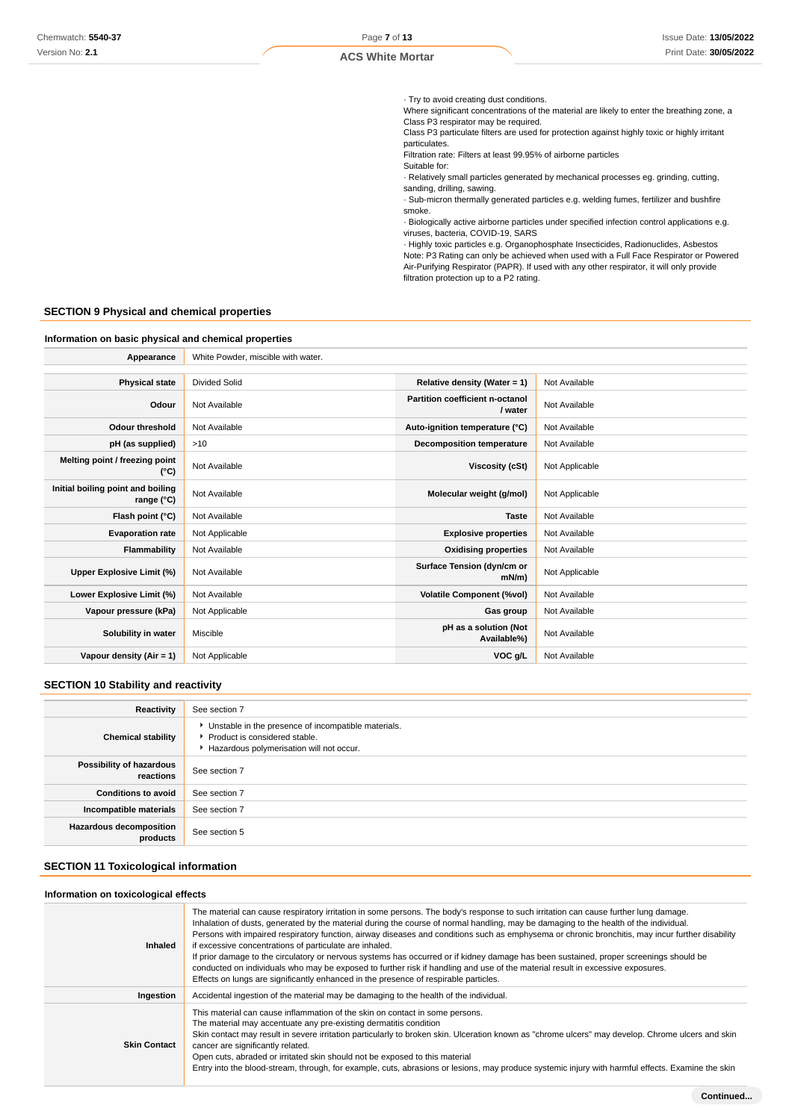· Try to avoid creating dust conditions.

Where significant concentrations of the material are likely to enter the breathing zone, a Class P3 respirator may be required.

Class P3 particulate filters are used for protection against highly toxic or highly irritant particulates.

Filtration rate: Filters at least 99.95% of airborne particles

Suitable for: · Relatively small particles generated by mechanical processes eg. grinding, cutting, sanding, drilling, sawing.

· Sub-micron thermally generated particles e.g. welding fumes, fertilizer and bushfire smoke.

· Biologically active airborne particles under specified infection control applications e.g. viruses, bacteria, COVID-19, SARS

· Highly toxic particles e.g. Organophosphate Insecticides, Radionuclides, Asbestos Note: P3 Rating can only be achieved when used with a Full Face Respirator or Powered Air-Purifying Respirator (PAPR). If used with any other respirator, it will only provide filtration protection up to a P2 rating.

# **SECTION 9 Physical and chemical properties**

| Information on basic physical and chemical properties |                                    |                                            |                |
|-------------------------------------------------------|------------------------------------|--------------------------------------------|----------------|
| Appearance                                            | White Powder, miscible with water. |                                            |                |
|                                                       |                                    |                                            |                |
| <b>Physical state</b>                                 | <b>Divided Solid</b>               | Relative density (Water = $1$ )            | Not Available  |
| Odour                                                 | Not Available                      | Partition coefficient n-octanol<br>/ water | Not Available  |
| <b>Odour threshold</b>                                | Not Available                      | Auto-ignition temperature (°C)             | Not Available  |
| pH (as supplied)                                      | >10                                | <b>Decomposition temperature</b>           | Not Available  |
| Melting point / freezing point<br>(°C)                | Not Available                      | <b>Viscosity (cSt)</b>                     | Not Applicable |
| Initial boiling point and boiling<br>range (°C)       | Not Available                      | Molecular weight (g/mol)                   | Not Applicable |
| Flash point (°C)                                      | Not Available                      | <b>Taste</b>                               | Not Available  |
| <b>Evaporation rate</b>                               | Not Applicable                     | <b>Explosive properties</b>                | Not Available  |
| Flammability                                          | Not Available                      | <b>Oxidising properties</b>                | Not Available  |
| Upper Explosive Limit (%)                             | Not Available                      | Surface Tension (dyn/cm or<br>$mN/m$ )     | Not Applicable |
| Lower Explosive Limit (%)                             | Not Available                      | <b>Volatile Component (%vol)</b>           | Not Available  |
| Vapour pressure (kPa)                                 | Not Applicable                     | Gas group                                  | Not Available  |
| Solubility in water                                   | Miscible                           | pH as a solution (Not<br>Available%)       | Not Available  |
| Vapour density (Air = 1)                              | Not Applicable                     | VOC g/L                                    | Not Available  |

# **SECTION 10 Stability and reactivity**

| Reactivity                                 | See section 7                                                                                                                        |
|--------------------------------------------|--------------------------------------------------------------------------------------------------------------------------------------|
| <b>Chemical stability</b>                  | • Unstable in the presence of incompatible materials.<br>▶ Product is considered stable.<br>Hazardous polymerisation will not occur. |
| Possibility of hazardous<br>reactions      | See section 7                                                                                                                        |
| <b>Conditions to avoid</b>                 | See section 7                                                                                                                        |
| Incompatible materials                     | See section 7                                                                                                                        |
| <b>Hazardous decomposition</b><br>products | See section 5                                                                                                                        |

# **SECTION 11 Toxicological information**

#### **Information on toxicological effects**

| <b>Inhaled</b>      | The material can cause respiratory irritation in some persons. The body's response to such irritation can cause further lung damage.<br>Inhalation of dusts, generated by the material during the course of normal handling, may be damaging to the health of the individual.<br>Persons with impaired respiratory function, airway diseases and conditions such as emphysema or chronic bronchitis, may incur further disability<br>if excessive concentrations of particulate are inhaled.<br>If prior damage to the circulatory or nervous systems has occurred or if kidney damage has been sustained, proper screenings should be<br>conducted on individuals who may be exposed to further risk if handling and use of the material result in excessive exposures.<br>Effects on lungs are significantly enhanced in the presence of respirable particles. |
|---------------------|------------------------------------------------------------------------------------------------------------------------------------------------------------------------------------------------------------------------------------------------------------------------------------------------------------------------------------------------------------------------------------------------------------------------------------------------------------------------------------------------------------------------------------------------------------------------------------------------------------------------------------------------------------------------------------------------------------------------------------------------------------------------------------------------------------------------------------------------------------------|
| Ingestion           | Accidental ingestion of the material may be damaging to the health of the individual.                                                                                                                                                                                                                                                                                                                                                                                                                                                                                                                                                                                                                                                                                                                                                                            |
| <b>Skin Contact</b> | This material can cause inflammation of the skin on contact in some persons.<br>The material may accentuate any pre-existing dermatitis condition<br>Skin contact may result in severe irritation particularly to broken skin. Ulceration known as "chrome ulcers" may develop. Chrome ulcers and skin<br>cancer are significantly related.<br>Open cuts, abraded or irritated skin should not be exposed to this material<br>Entry into the blood-stream, through, for example, cuts, abrasions or lesions, may produce systemic injury with harmful effects. Examine the skin                                                                                                                                                                                                                                                                                  |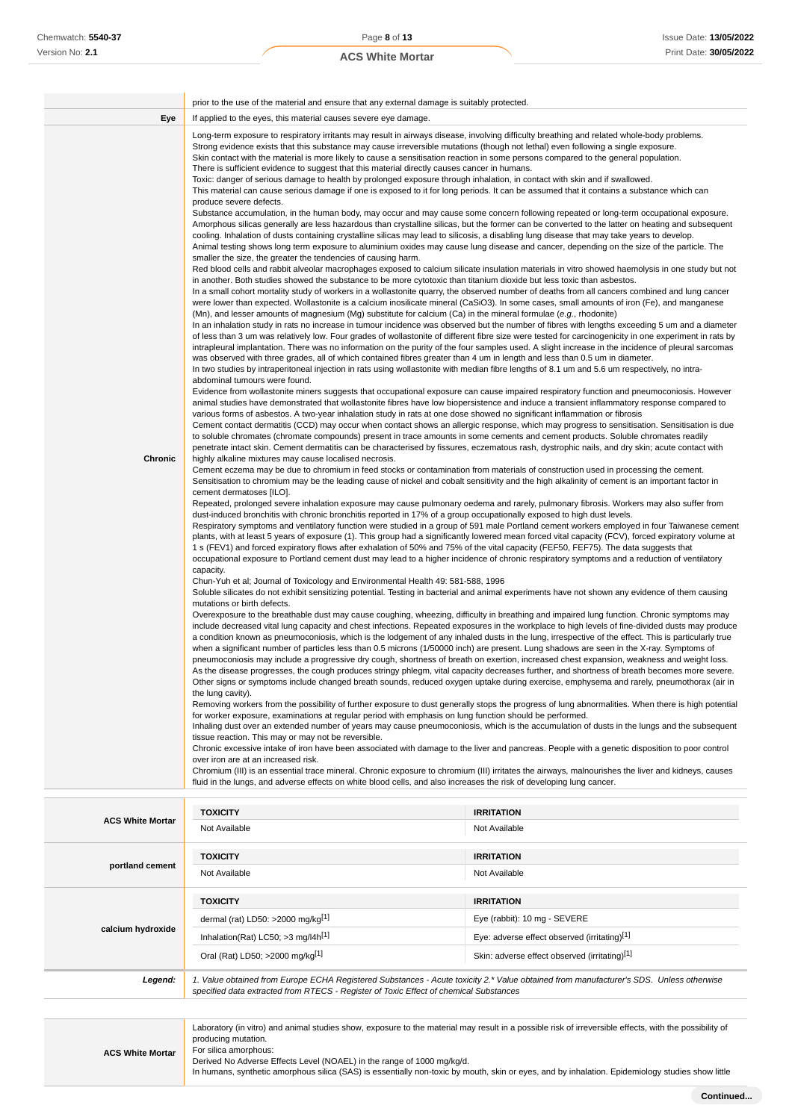| <b>ACS White Mortar</b> |
|-------------------------|
|-------------------------|

|                         | prior to the use of the material and ensure that any external damage is suitably protected.                                                                                                                                                                                                                                                                                                                                                                                                                                                                                                                                                                                                                                                                                                                                                                                                                                                                                                                                                                                                                                                                                                                                                                                                                                                                                                                                                                                                                                                                                                                                                                                                                                                                                                                                                                                                                                                                                                                                                                                                                                                                                                                                                                                                                                                                                                                                                                                                                                                                                                                                                                                                                                                                                                                                                                                                                                                                                                                                                                                                                                                                                                                                                                                                                                                                                                                                                                                                                                                                                                                                                                                                                                                                                                                                                                                                                                                                                                                                                                                                                                                                                                                                                                                                                                                                                                                                                                                                                                                                                                                                                                                                                                                                                                                                                                                                                                                                                                                                                                                                                                                                                                                                                                                                                                                                                                                                                                                                                                                                                                                                                                                                                                                                                                                                                                                                                                                                                                                                                                                                                                                                                                                                                                                                                                                                                                                                                                                                                                                                                                                                                                                                                                                                                                                                                                                                                              |                                    |  |
|-------------------------|--------------------------------------------------------------------------------------------------------------------------------------------------------------------------------------------------------------------------------------------------------------------------------------------------------------------------------------------------------------------------------------------------------------------------------------------------------------------------------------------------------------------------------------------------------------------------------------------------------------------------------------------------------------------------------------------------------------------------------------------------------------------------------------------------------------------------------------------------------------------------------------------------------------------------------------------------------------------------------------------------------------------------------------------------------------------------------------------------------------------------------------------------------------------------------------------------------------------------------------------------------------------------------------------------------------------------------------------------------------------------------------------------------------------------------------------------------------------------------------------------------------------------------------------------------------------------------------------------------------------------------------------------------------------------------------------------------------------------------------------------------------------------------------------------------------------------------------------------------------------------------------------------------------------------------------------------------------------------------------------------------------------------------------------------------------------------------------------------------------------------------------------------------------------------------------------------------------------------------------------------------------------------------------------------------------------------------------------------------------------------------------------------------------------------------------------------------------------------------------------------------------------------------------------------------------------------------------------------------------------------------------------------------------------------------------------------------------------------------------------------------------------------------------------------------------------------------------------------------------------------------------------------------------------------------------------------------------------------------------------------------------------------------------------------------------------------------------------------------------------------------------------------------------------------------------------------------------------------------------------------------------------------------------------------------------------------------------------------------------------------------------------------------------------------------------------------------------------------------------------------------------------------------------------------------------------------------------------------------------------------------------------------------------------------------------------------------------------------------------------------------------------------------------------------------------------------------------------------------------------------------------------------------------------------------------------------------------------------------------------------------------------------------------------------------------------------------------------------------------------------------------------------------------------------------------------------------------------------------------------------------------------------------------------------------------------------------------------------------------------------------------------------------------------------------------------------------------------------------------------------------------------------------------------------------------------------------------------------------------------------------------------------------------------------------------------------------------------------------------------------------------------------------------------------------------------------------------------------------------------------------------------------------------------------------------------------------------------------------------------------------------------------------------------------------------------------------------------------------------------------------------------------------------------------------------------------------------------------------------------------------------------------------------------------------------------------------------------------------------------------------------------------------------------------------------------------------------------------------------------------------------------------------------------------------------------------------------------------------------------------------------------------------------------------------------------------------------------------------------------------------------------------------------------------------------------------------------------------------------------------------------------------------------------------------------------------------------------------------------------------------------------------------------------------------------------------------------------------------------------------------------------------------------------------------------------------------------------------------------------------------------------------------------------------------------------------------------------------------------------------------------------------------------------------------------------------------------------------------------------------------------------------------------------------------------------------------------------------------------------------------------------------------------------------------------------------------------------------------------------------------------------------------------------------------------------------------------------------------------------------------------------------------------------------|------------------------------------|--|
| Eye                     | If applied to the eyes, this material causes severe eye damage.                                                                                                                                                                                                                                                                                                                                                                                                                                                                                                                                                                                                                                                                                                                                                                                                                                                                                                                                                                                                                                                                                                                                                                                                                                                                                                                                                                                                                                                                                                                                                                                                                                                                                                                                                                                                                                                                                                                                                                                                                                                                                                                                                                                                                                                                                                                                                                                                                                                                                                                                                                                                                                                                                                                                                                                                                                                                                                                                                                                                                                                                                                                                                                                                                                                                                                                                                                                                                                                                                                                                                                                                                                                                                                                                                                                                                                                                                                                                                                                                                                                                                                                                                                                                                                                                                                                                                                                                                                                                                                                                                                                                                                                                                                                                                                                                                                                                                                                                                                                                                                                                                                                                                                                                                                                                                                                                                                                                                                                                                                                                                                                                                                                                                                                                                                                                                                                                                                                                                                                                                                                                                                                                                                                                                                                                                                                                                                                                                                                                                                                                                                                                                                                                                                                                                                                                                                                          |                                    |  |
| <b>Chronic</b>          | Long-term exposure to respiratory irritants may result in airways disease, involving difficulty breathing and related whole-body problems.<br>Strong evidence exists that this substance may cause irreversible mutations (though not lethal) even following a single exposure.<br>Skin contact with the material is more likely to cause a sensitisation reaction in some persons compared to the general population.<br>There is sufficient evidence to suggest that this material directly causes cancer in humans.<br>Toxic: danger of serious damage to health by prolonged exposure through inhalation, in contact with skin and if swallowed.<br>This material can cause serious damage if one is exposed to it for long periods. It can be assumed that it contains a substance which can<br>produce severe defects.<br>Substance accumulation, in the human body, may occur and may cause some concern following repeated or long-term occupational exposure.<br>Amorphous silicas generally are less hazardous than crystalline silicas, but the former can be converted to the latter on heating and subsequent<br>cooling. Inhalation of dusts containing crystalline silicas may lead to silicosis, a disabling lung disease that may take years to develop.<br>Animal testing shows long term exposure to aluminium oxides may cause lung disease and cancer, depending on the size of the particle. The<br>smaller the size, the greater the tendencies of causing harm.<br>Red blood cells and rabbit alveolar macrophages exposed to calcium silicate insulation materials in vitro showed haemolysis in one study but not<br>in another. Both studies showed the substance to be more cytotoxic than titanium dioxide but less toxic than asbestos.<br>In a small cohort mortality study of workers in a wollastonite quarry, the observed number of deaths from all cancers combined and lung cancer<br>were lower than expected. Wollastonite is a calcium inosilicate mineral (CaSiO3). In some cases, small amounts of iron (Fe), and manganese<br>(Mn), and lesser amounts of magnesium (Mg) substitute for calcium (Ca) in the mineral formulae (e.g., rhodonite)<br>In an inhalation study in rats no increase in tumour incidence was observed but the number of fibres with lengths exceeding 5 um and a diameter<br>of less than 3 um was relatively low. Four grades of wollastonite of different fibre size were tested for carcinogenicity in one experiment in rats by<br>intrapleural implantation. There was no information on the purity of the four samples used. A slight increase in the incidence of pleural sarcomas<br>was observed with three grades, all of which contained fibres greater than 4 um in length and less than 0.5 um in diameter.<br>In two studies by intraperitoneal injection in rats using wollastonite with median fibre lengths of 8.1 um and 5.6 um respectively, no intra-<br>abdominal tumours were found.<br>Evidence from wollastonite miners suggests that occupational exposure can cause impaired respiratory function and pneumoconiosis. However<br>animal studies have demonstrated that wollastonite fibres have low biopersistence and induce a transient inflammatory response compared to<br>various forms of asbestos. A two-year inhalation study in rats at one dose showed no significant inflammation or fibrosis<br>Cement contact dermatitis (CCD) may occur when contact shows an allergic response, which may progress to sensitisation. Sensitisation is due<br>to soluble chromates (chromate compounds) present in trace amounts in some cements and cement products. Soluble chromates readily<br>penetrate intact skin. Cement dermatitis can be characterised by fissures, eczematous rash, dystrophic nails, and dry skin; acute contact with<br>highly alkaline mixtures may cause localised necrosis.<br>Cement eczema may be due to chromium in feed stocks or contamination from materials of construction used in processing the cement.<br>Sensitisation to chromium may be the leading cause of nickel and cobalt sensitivity and the high alkalinity of cement is an important factor in<br>cement dermatoses [ILO].<br>Repeated, prolonged severe inhalation exposure may cause pulmonary oedema and rarely, pulmonary fibrosis. Workers may also suffer from<br>dust-induced bronchitis with chronic bronchitis reported in 17% of a group occupationally exposed to high dust levels.<br>Respiratory symptoms and ventilatory function were studied in a group of 591 male Portland cement workers employed in four Taiwanese cement<br>plants, with at least 5 years of exposure (1). This group had a significantly lowered mean forced vital capacity (FCV), forced expiratory volume at<br>1 s (FEV1) and forced expiratory flows after exhalation of 50% and 75% of the vital capacity (FEF50, FEF75). The data suggests that<br>occupational exposure to Portland cement dust may lead to a higher incidence of chronic respiratory symptoms and a reduction of ventilatory<br>capacity.<br>Chun-Yuh et al; Journal of Toxicology and Environmental Health 49: 581-588, 1996<br>Soluble silicates do not exhibit sensitizing potential. Testing in bacterial and animal experiments have not shown any evidence of them causing<br>mutations or birth defects.<br>Overexposure to the breathable dust may cause coughing, wheezing, difficulty in breathing and impaired lung function. Chronic symptoms may<br>include decreased vital lung capacity and chest infections. Repeated exposures in the workplace to high levels of fine-divided dusts may produce<br>a condition known as pneumoconiosis, which is the lodgement of any inhaled dusts in the lung, irrespective of the effect. This is particularly true<br>when a significant number of particles less than 0.5 microns (1/50000 inch) are present. Lung shadows are seen in the X-ray. Symptoms of<br>pneumoconiosis may include a progressive dry cough, shortness of breath on exertion, increased chest expansion, weakness and weight loss.<br>As the disease progresses, the cough produces stringy phlegm, vital capacity decreases further, and shortness of breath becomes more severe.<br>Other signs or symptoms include changed breath sounds, reduced oxygen uptake during exercise, emphysema and rarely, pneumothorax (air in<br>the lung cavity).<br>Removing workers from the possibility of further exposure to dust generally stops the progress of lung abnormalities. When there is high potential<br>for worker exposure, examinations at regular period with emphasis on lung function should be performed.<br>Inhaling dust over an extended number of years may cause pneumoconiosis, which is the accumulation of dusts in the lungs and the subsequent<br>tissue reaction. This may or may not be reversible. |                                    |  |
|                         | Chronic excessive intake of iron have been associated with damage to the liver and pancreas. People with a genetic disposition to poor control<br>over iron are at an increased risk.                                                                                                                                                                                                                                                                                                                                                                                                                                                                                                                                                                                                                                                                                                                                                                                                                                                                                                                                                                                                                                                                                                                                                                                                                                                                                                                                                                                                                                                                                                                                                                                                                                                                                                                                                                                                                                                                                                                                                                                                                                                                                                                                                                                                                                                                                                                                                                                                                                                                                                                                                                                                                                                                                                                                                                                                                                                                                                                                                                                                                                                                                                                                                                                                                                                                                                                                                                                                                                                                                                                                                                                                                                                                                                                                                                                                                                                                                                                                                                                                                                                                                                                                                                                                                                                                                                                                                                                                                                                                                                                                                                                                                                                                                                                                                                                                                                                                                                                                                                                                                                                                                                                                                                                                                                                                                                                                                                                                                                                                                                                                                                                                                                                                                                                                                                                                                                                                                                                                                                                                                                                                                                                                                                                                                                                                                                                                                                                                                                                                                                                                                                                                                                                                                                                                    |                                    |  |
|                         | Chromium (III) is an essential trace mineral. Chronic exposure to chromium (III) irritates the airways, malnourishes the liver and kidneys, causes<br>fluid in the lungs, and adverse effects on white blood cells, and also increases the risk of developing lung cancer.                                                                                                                                                                                                                                                                                                                                                                                                                                                                                                                                                                                                                                                                                                                                                                                                                                                                                                                                                                                                                                                                                                                                                                                                                                                                                                                                                                                                                                                                                                                                                                                                                                                                                                                                                                                                                                                                                                                                                                                                                                                                                                                                                                                                                                                                                                                                                                                                                                                                                                                                                                                                                                                                                                                                                                                                                                                                                                                                                                                                                                                                                                                                                                                                                                                                                                                                                                                                                                                                                                                                                                                                                                                                                                                                                                                                                                                                                                                                                                                                                                                                                                                                                                                                                                                                                                                                                                                                                                                                                                                                                                                                                                                                                                                                                                                                                                                                                                                                                                                                                                                                                                                                                                                                                                                                                                                                                                                                                                                                                                                                                                                                                                                                                                                                                                                                                                                                                                                                                                                                                                                                                                                                                                                                                                                                                                                                                                                                                                                                                                                                                                                                                                               |                                    |  |
|                         | <b>TOXICITY</b>                                                                                                                                                                                                                                                                                                                                                                                                                                                                                                                                                                                                                                                                                                                                                                                                                                                                                                                                                                                                                                                                                                                                                                                                                                                                                                                                                                                                                                                                                                                                                                                                                                                                                                                                                                                                                                                                                                                                                                                                                                                                                                                                                                                                                                                                                                                                                                                                                                                                                                                                                                                                                                                                                                                                                                                                                                                                                                                                                                                                                                                                                                                                                                                                                                                                                                                                                                                                                                                                                                                                                                                                                                                                                                                                                                                                                                                                                                                                                                                                                                                                                                                                                                                                                                                                                                                                                                                                                                                                                                                                                                                                                                                                                                                                                                                                                                                                                                                                                                                                                                                                                                                                                                                                                                                                                                                                                                                                                                                                                                                                                                                                                                                                                                                                                                                                                                                                                                                                                                                                                                                                                                                                                                                                                                                                                                                                                                                                                                                                                                                                                                                                                                                                                                                                                                                                                                                                                                          |                                    |  |
| <b>ACS White Mortar</b> | Not Available                                                                                                                                                                                                                                                                                                                                                                                                                                                                                                                                                                                                                                                                                                                                                                                                                                                                                                                                                                                                                                                                                                                                                                                                                                                                                                                                                                                                                                                                                                                                                                                                                                                                                                                                                                                                                                                                                                                                                                                                                                                                                                                                                                                                                                                                                                                                                                                                                                                                                                                                                                                                                                                                                                                                                                                                                                                                                                                                                                                                                                                                                                                                                                                                                                                                                                                                                                                                                                                                                                                                                                                                                                                                                                                                                                                                                                                                                                                                                                                                                                                                                                                                                                                                                                                                                                                                                                                                                                                                                                                                                                                                                                                                                                                                                                                                                                                                                                                                                                                                                                                                                                                                                                                                                                                                                                                                                                                                                                                                                                                                                                                                                                                                                                                                                                                                                                                                                                                                                                                                                                                                                                                                                                                                                                                                                                                                                                                                                                                                                                                                                                                                                                                                                                                                                                                                                                                                                                            | <b>IRRITATION</b><br>Not Available |  |
|                         | <b>TOXICITY</b>                                                                                                                                                                                                                                                                                                                                                                                                                                                                                                                                                                                                                                                                                                                                                                                                                                                                                                                                                                                                                                                                                                                                                                                                                                                                                                                                                                                                                                                                                                                                                                                                                                                                                                                                                                                                                                                                                                                                                                                                                                                                                                                                                                                                                                                                                                                                                                                                                                                                                                                                                                                                                                                                                                                                                                                                                                                                                                                                                                                                                                                                                                                                                                                                                                                                                                                                                                                                                                                                                                                                                                                                                                                                                                                                                                                                                                                                                                                                                                                                                                                                                                                                                                                                                                                                                                                                                                                                                                                                                                                                                                                                                                                                                                                                                                                                                                                                                                                                                                                                                                                                                                                                                                                                                                                                                                                                                                                                                                                                                                                                                                                                                                                                                                                                                                                                                                                                                                                                                                                                                                                                                                                                                                                                                                                                                                                                                                                                                                                                                                                                                                                                                                                                                                                                                                                                                                                                                                          | <b>IRRITATION</b>                  |  |

| portland cement | 1 UAN 11        | $\blacksquare$    |
|-----------------|-----------------|-------------------|
|                 | Not Available   | Not Available     |
|                 |                 |                   |
|                 | <b>TOXICITY</b> | <b>IRRITATION</b> |

| calcium hydroxide | dermal (rat) LD50: $>2000$ mg/kg <sup>[1]</sup>                                                                                                                                                                                 | Eye (rabbit): 10 mg - SEVERE                  |
|-------------------|---------------------------------------------------------------------------------------------------------------------------------------------------------------------------------------------------------------------------------|-----------------------------------------------|
|                   | Inhalation(Rat) LC50; $>3$ mg/l4h <sup>[1]</sup>                                                                                                                                                                                | Eye: adverse effect observed (irritating)[1]  |
|                   | Oral (Rat) LD50; >2000 mg/kg[1]                                                                                                                                                                                                 | Skin: adverse effect observed (irritating)[1] |
| Legend:           | 1. Value obtained from Europe ECHA Registered Substances - Acute toxicity 2.* Value obtained from manufacturer's SDS. Unless otherwise<br>specified data extracted from RTECS - Register of Toxic Effect of chemical Substances |                                               |
|                   |                                                                                                                                                                                                                                 |                                               |

**ACS White Mortar** Laboratory (in vitro) and animal studies show, exposure to the material may result in a possible risk of irreversible effects, with the possibility of producing mutation. For silica amorphous: Derived No Adverse Effects Level (NOAEL) in the range of 1000 mg/kg/d. In humans, synthetic amorphous silica (SAS) is essentially non-toxic by mouth, skin or eyes, and by inhalation. Epidemiology studies show little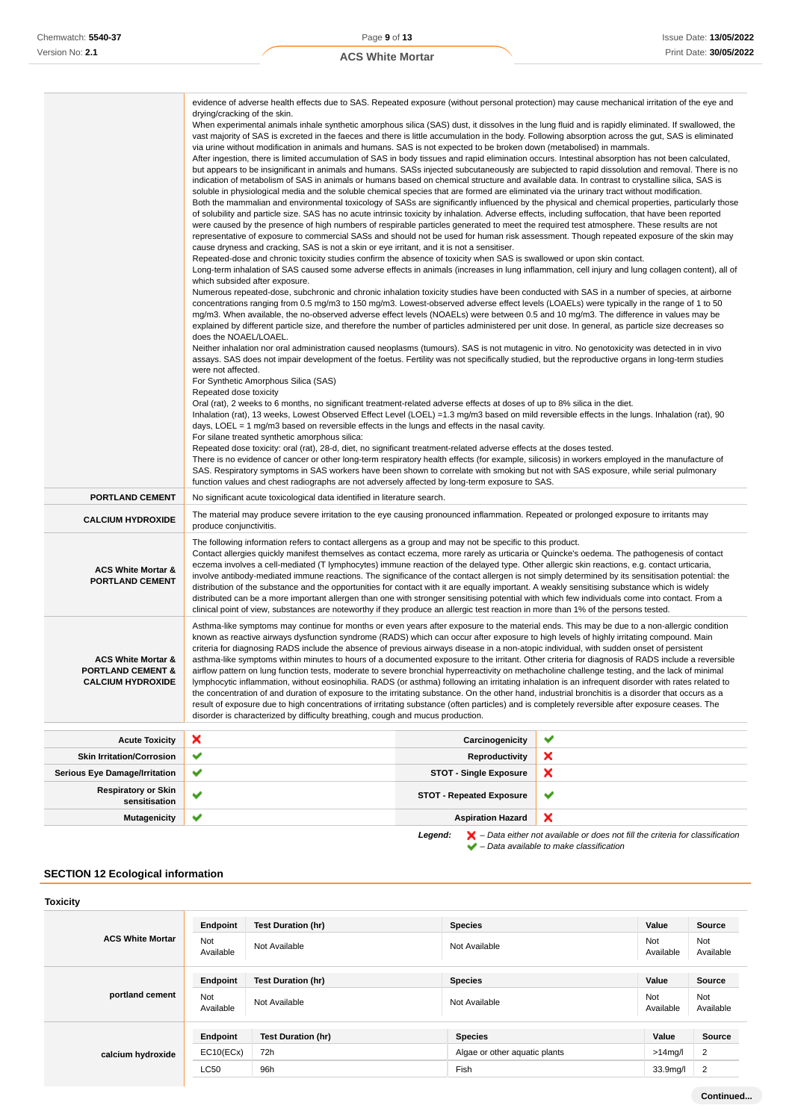|                                                                                                                                                                                 | evidence of adverse health effects due to SAS. Repeated exposure (without personal protection) may cause mechanical irritation of the eye and                                                                                                                                                                                         |                                                                                                                                                                                                                                                                                                |                                                                                                                                                    |  |
|---------------------------------------------------------------------------------------------------------------------------------------------------------------------------------|---------------------------------------------------------------------------------------------------------------------------------------------------------------------------------------------------------------------------------------------------------------------------------------------------------------------------------------|------------------------------------------------------------------------------------------------------------------------------------------------------------------------------------------------------------------------------------------------------------------------------------------------|----------------------------------------------------------------------------------------------------------------------------------------------------|--|
|                                                                                                                                                                                 | drying/cracking of the skin.<br>When experimental animals inhale synthetic amorphous silica (SAS) dust, it dissolves in the lung fluid and is rapidly eliminated. If swallowed, the                                                                                                                                                   |                                                                                                                                                                                                                                                                                                |                                                                                                                                                    |  |
|                                                                                                                                                                                 | vast majority of SAS is excreted in the faeces and there is little accumulation in the body. Following absorption across the gut, SAS is eliminated                                                                                                                                                                                   |                                                                                                                                                                                                                                                                                                |                                                                                                                                                    |  |
|                                                                                                                                                                                 | via urine without modification in animals and humans. SAS is not expected to be broken down (metabolised) in mammals.<br>After ingestion, there is limited accumulation of SAS in body tissues and rapid elimination occurs. Intestinal absorption has not been calculated,                                                           |                                                                                                                                                                                                                                                                                                |                                                                                                                                                    |  |
|                                                                                                                                                                                 | but appears to be insignificant in animals and humans. SASs injected subcutaneously are subjected to rapid dissolution and removal. There is no                                                                                                                                                                                       |                                                                                                                                                                                                                                                                                                |                                                                                                                                                    |  |
|                                                                                                                                                                                 | indication of metabolism of SAS in animals or humans based on chemical structure and available data. In contrast to crystalline silica, SAS is                                                                                                                                                                                        |                                                                                                                                                                                                                                                                                                |                                                                                                                                                    |  |
|                                                                                                                                                                                 |                                                                                                                                                                                                                                                                                                                                       | soluble in physiological media and the soluble chemical species that are formed are eliminated via the urinary tract without modification.<br>Both the mammalian and environmental toxicology of SASs are significantly influenced by the physical and chemical properties, particularly those |                                                                                                                                                    |  |
|                                                                                                                                                                                 | of solubility and particle size. SAS has no acute intrinsic toxicity by inhalation. Adverse effects, including suffocation, that have been reported                                                                                                                                                                                   |                                                                                                                                                                                                                                                                                                |                                                                                                                                                    |  |
|                                                                                                                                                                                 | were caused by the presence of high numbers of respirable particles generated to meet the required test atmosphere. These results are not                                                                                                                                                                                             |                                                                                                                                                                                                                                                                                                |                                                                                                                                                    |  |
|                                                                                                                                                                                 | representative of exposure to commercial SASs and should not be used for human risk assessment. Though repeated exposure of the skin may<br>cause dryness and cracking, SAS is not a skin or eye irritant, and it is not a sensitiser.                                                                                                |                                                                                                                                                                                                                                                                                                |                                                                                                                                                    |  |
|                                                                                                                                                                                 | Repeated-dose and chronic toxicity studies confirm the absence of toxicity when SAS is swallowed or upon skin contact.                                                                                                                                                                                                                |                                                                                                                                                                                                                                                                                                |                                                                                                                                                    |  |
|                                                                                                                                                                                 | which subsided after exposure.                                                                                                                                                                                                                                                                                                        |                                                                                                                                                                                                                                                                                                | Long-term inhalation of SAS caused some adverse effects in animals (increases in lung inflammation, cell injury and lung collagen content), all of |  |
|                                                                                                                                                                                 | Numerous repeated-dose, subchronic and chronic inhalation toxicity studies have been conducted with SAS in a number of species, at airborne                                                                                                                                                                                           |                                                                                                                                                                                                                                                                                                |                                                                                                                                                    |  |
|                                                                                                                                                                                 | concentrations ranging from 0.5 mg/m3 to 150 mg/m3. Lowest-observed adverse effect levels (LOAELs) were typically in the range of 1 to 50                                                                                                                                                                                             |                                                                                                                                                                                                                                                                                                |                                                                                                                                                    |  |
|                                                                                                                                                                                 | mg/m3. When available, the no-observed adverse effect levels (NOAELs) were between 0.5 and 10 mg/m3. The difference in values may be<br>explained by different particle size, and therefore the number of particles administered per unit dose. In general, as particle size decreases so                                             |                                                                                                                                                                                                                                                                                                |                                                                                                                                                    |  |
|                                                                                                                                                                                 | does the NOAEL/LOAEL.                                                                                                                                                                                                                                                                                                                 |                                                                                                                                                                                                                                                                                                |                                                                                                                                                    |  |
|                                                                                                                                                                                 | Neither inhalation nor oral administration caused neoplasms (tumours). SAS is not mutagenic in vitro. No genotoxicity was detected in in vivo<br>assays. SAS does not impair development of the foetus. Fertility was not specifically studied, but the reproductive organs in long-term studies                                      |                                                                                                                                                                                                                                                                                                |                                                                                                                                                    |  |
|                                                                                                                                                                                 | were not affected.                                                                                                                                                                                                                                                                                                                    |                                                                                                                                                                                                                                                                                                |                                                                                                                                                    |  |
|                                                                                                                                                                                 | For Synthetic Amorphous Silica (SAS)                                                                                                                                                                                                                                                                                                  |                                                                                                                                                                                                                                                                                                |                                                                                                                                                    |  |
|                                                                                                                                                                                 | Repeated dose toxicity<br>Oral (rat), 2 weeks to 6 months, no significant treatment-related adverse effects at doses of up to 8% silica in the diet.                                                                                                                                                                                  |                                                                                                                                                                                                                                                                                                |                                                                                                                                                    |  |
|                                                                                                                                                                                 | Inhalation (rat), 13 weeks, Lowest Observed Effect Level (LOEL) =1.3 mg/m3 based on mild reversible effects in the lungs. Inhalation (rat), 90                                                                                                                                                                                        |                                                                                                                                                                                                                                                                                                |                                                                                                                                                    |  |
|                                                                                                                                                                                 | days, LOEL = 1 mg/m3 based on reversible effects in the lungs and effects in the nasal cavity.<br>For silane treated synthetic amorphous silica:                                                                                                                                                                                      |                                                                                                                                                                                                                                                                                                |                                                                                                                                                    |  |
|                                                                                                                                                                                 | Repeated dose toxicity: oral (rat), 28-d, diet, no significant treatment-related adverse effects at the doses tested.                                                                                                                                                                                                                 |                                                                                                                                                                                                                                                                                                |                                                                                                                                                    |  |
|                                                                                                                                                                                 | There is no evidence of cancer or other long-term respiratory health effects (for example, silicosis) in workers employed in the manufacture of                                                                                                                                                                                       |                                                                                                                                                                                                                                                                                                |                                                                                                                                                    |  |
|                                                                                                                                                                                 | SAS. Respiratory symptoms in SAS workers have been shown to correlate with smoking but not with SAS exposure, while serial pulmonary<br>function values and chest radiographs are not adversely affected by long-term exposure to SAS.                                                                                                |                                                                                                                                                                                                                                                                                                |                                                                                                                                                    |  |
| <b>PORTLAND CEMENT</b>                                                                                                                                                          | No significant acute toxicological data identified in literature search.                                                                                                                                                                                                                                                              |                                                                                                                                                                                                                                                                                                |                                                                                                                                                    |  |
| <b>CALCIUM HYDROXIDE</b>                                                                                                                                                        | The material may produce severe irritation to the eye causing pronounced inflammation. Repeated or prolonged exposure to irritants may<br>produce conjunctivitis.                                                                                                                                                                     |                                                                                                                                                                                                                                                                                                |                                                                                                                                                    |  |
|                                                                                                                                                                                 | The following information refers to contact allergens as a group and may not be specific to this product.                                                                                                                                                                                                                             |                                                                                                                                                                                                                                                                                                |                                                                                                                                                    |  |
|                                                                                                                                                                                 | Contact allergies quickly manifest themselves as contact eczema, more rarely as urticaria or Quincke's oedema. The pathogenesis of contact                                                                                                                                                                                            |                                                                                                                                                                                                                                                                                                |                                                                                                                                                    |  |
| <b>ACS White Mortar &amp;</b><br><b>PORTLAND CEMENT</b>                                                                                                                         | eczema involves a cell-mediated (T lymphocytes) immune reaction of the delayed type. Other allergic skin reactions, e.g. contact urticaria,<br>involve antibody-mediated immune reactions. The significance of the contact allergen is not simply determined by its sensitisation potential: the                                      |                                                                                                                                                                                                                                                                                                |                                                                                                                                                    |  |
|                                                                                                                                                                                 | distribution of the substance and the opportunities for contact with it are equally important. A weakly sensitising substance which is widely<br>distributed can be a more important allergen than one with stronger sensitising potential with which few individuals come into contact. From a                                       |                                                                                                                                                                                                                                                                                                |                                                                                                                                                    |  |
|                                                                                                                                                                                 | clinical point of view, substances are noteworthy if they produce an allergic test reaction in more than 1% of the persons tested.                                                                                                                                                                                                    |                                                                                                                                                                                                                                                                                                |                                                                                                                                                    |  |
|                                                                                                                                                                                 | Asthma-like symptoms may continue for months or even years after exposure to the material ends. This may be due to a non-allergic condition                                                                                                                                                                                           |                                                                                                                                                                                                                                                                                                |                                                                                                                                                    |  |
|                                                                                                                                                                                 | known as reactive airways dysfunction syndrome (RADS) which can occur after exposure to high levels of highly irritating compound. Main<br>criteria for diagnosing RADS include the absence of previous airways disease in a non-atopic individual, with sudden onset of persistent                                                   |                                                                                                                                                                                                                                                                                                |                                                                                                                                                    |  |
| <b>ACS White Mortar &amp;</b>                                                                                                                                                   | asthma-like symptoms within minutes to hours of a documented exposure to the irritant. Other criteria for diagnosis of RADS include a reversible                                                                                                                                                                                      |                                                                                                                                                                                                                                                                                                |                                                                                                                                                    |  |
| <b>PORTLAND CEMENT &amp;</b><br>airflow pattern on lung function tests, moderate to severe bronchial hyperreactivity on methacholine challenge testing, and the lack of minimal |                                                                                                                                                                                                                                                                                                                                       |                                                                                                                                                                                                                                                                                                |                                                                                                                                                    |  |
|                                                                                                                                                                                 | <b>CALCIUM HYDROXIDE</b><br>lymphocytic inflammation, without eosinophilia. RADS (or asthma) following an irritating inhalation is an infrequent disorder with rates related to<br>the concentration of and duration of exposure to the irritating substance. On the other hand, industrial bronchitis is a disorder that occurs as a |                                                                                                                                                                                                                                                                                                |                                                                                                                                                    |  |
|                                                                                                                                                                                 | result of exposure due to high concentrations of irritating substance (often particles) and is completely reversible after exposure ceases. The<br>disorder is characterized by difficulty breathing, cough and mucus production.                                                                                                     |                                                                                                                                                                                                                                                                                                |                                                                                                                                                    |  |
|                                                                                                                                                                                 |                                                                                                                                                                                                                                                                                                                                       |                                                                                                                                                                                                                                                                                                |                                                                                                                                                    |  |
| <b>Acute Toxicity</b>                                                                                                                                                           | ×                                                                                                                                                                                                                                                                                                                                     | Carcinogenicity                                                                                                                                                                                                                                                                                | ✔                                                                                                                                                  |  |
| <b>Skin Irritation/Corrosion</b>                                                                                                                                                | ✔                                                                                                                                                                                                                                                                                                                                     | Reproductivity                                                                                                                                                                                                                                                                                 | ×                                                                                                                                                  |  |
| <b>Serious Eye Damage/Irritation</b>                                                                                                                                            | ✔                                                                                                                                                                                                                                                                                                                                     | <b>STOT - Single Exposure</b>                                                                                                                                                                                                                                                                  | ×                                                                                                                                                  |  |
| <b>Respiratory or Skin</b><br>sensitisation                                                                                                                                     |                                                                                                                                                                                                                                                                                                                                       | <b>STOT - Repeated Exposure</b>                                                                                                                                                                                                                                                                | ✔                                                                                                                                                  |  |
| <b>Mutagenicity</b>                                                                                                                                                             | ✔                                                                                                                                                                                                                                                                                                                                     | <b>Aspiration Hazard</b>                                                                                                                                                                                                                                                                       | ×                                                                                                                                                  |  |

# **SECTION 12 Ecological information**

| <b>Toxicity</b>         |                  |                           |                               |                  |                  |
|-------------------------|------------------|---------------------------|-------------------------------|------------------|------------------|
|                         | Endpoint         | <b>Test Duration (hr)</b> | <b>Species</b>                | Value            | Source           |
| <b>ACS White Mortar</b> | Not<br>Available | Not Available             | Not Available                 | Not<br>Available | Not<br>Available |
|                         | Endpoint         | <b>Test Duration (hr)</b> | <b>Species</b>                | Value            | Source           |
| portland cement         | Not<br>Available | Not Available             | Not Available                 | Not<br>Available | Not<br>Available |
|                         | Endpoint         | <b>Test Duration (hr)</b> | <b>Species</b>                | Value            | <b>Source</b>    |
| calcium hydroxide       | EC10(ECx)        | 72h                       | Algae or other aquatic plants | $>14$ mg/l       | 2                |
|                         | LC50             | 96h                       | Fish                          | 33.9mg/l         | $\overline{2}$   |
|                         |                  |                           |                               |                  |                  |

**Legend:**  $\mathbf{X}$  – Data either not available or does not fill the criteria for classification

– Data available to make classification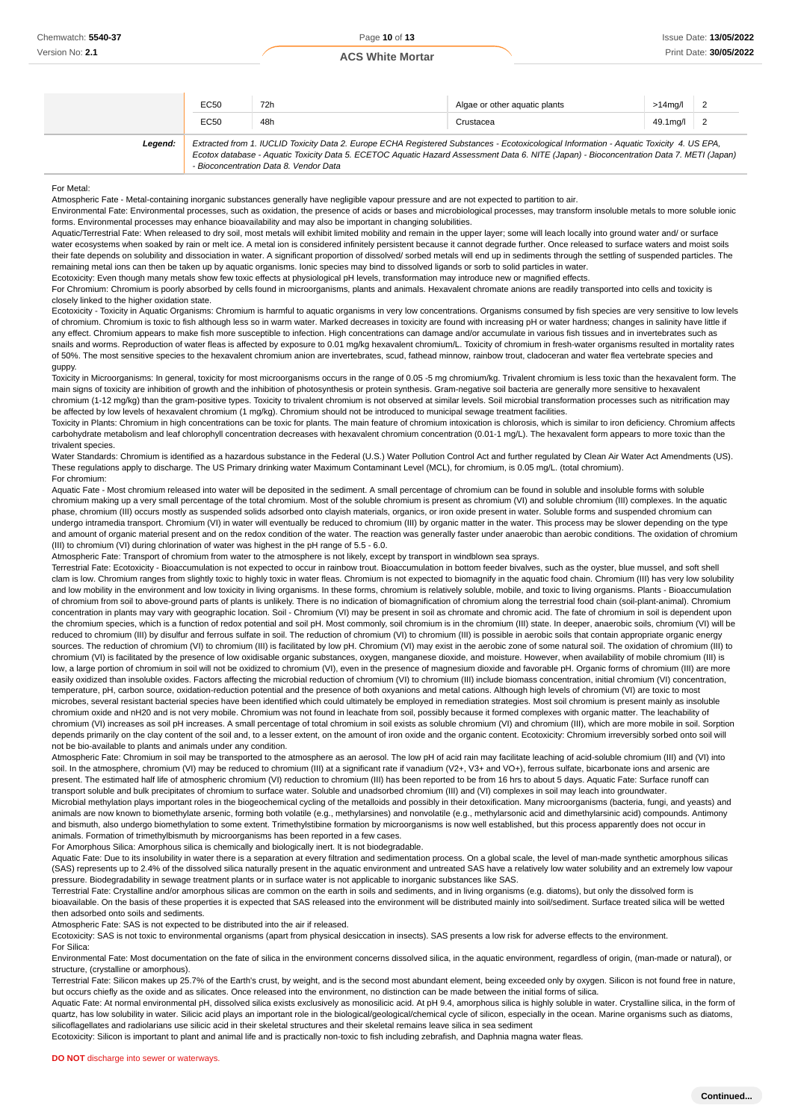|         | EC50 | 72h                                    | Algae or other aguatic plants                                                                                                                                                                                                                                                        | $>14$ mg/l 2                |  |
|---------|------|----------------------------------------|--------------------------------------------------------------------------------------------------------------------------------------------------------------------------------------------------------------------------------------------------------------------------------------|-----------------------------|--|
|         | EC50 | 48h                                    | Crustacea                                                                                                                                                                                                                                                                            | $49.1 \text{mg}/\text{l}$ 2 |  |
| Legend: |      | - Bioconcentration Data 8. Vendor Data | Extracted from 1. IUCLID Toxicity Data 2. Europe ECHA Registered Substances - Ecotoxicological Information - Aquatic Toxicity 4. US EPA,<br>Ecotox database - Aquatic Toxicity Data 5. ECETOC Aquatic Hazard Assessment Data 6. NITE (Japan) - Bioconcentration Data 7. METI (Japan) |                             |  |

For Metal:

Atmospheric Fate - Metal-containing inorganic substances generally have negligible vapour pressure and are not expected to partition to air.

Environmental Fate: Environmental processes, such as oxidation, the presence of acids or bases and microbiological processes, may transform insoluble metals to more soluble ionic forms. Environmental processes may enhance bioavailability and may also be important in changing solubilities.

Aquatic/Terrestrial Fate: When released to dry soil, most metals will exhibit limited mobility and remain in the upper layer; some will leach locally into ground water and/ or surface water ecosystems when soaked by rain or melt ice. A metal ion is considered infinitely persistent because it cannot degrade further. Once released to surface waters and moist soils their fate depends on solubility and dissociation in water. A significant proportion of dissolved/ sorbed metals will end up in sediments through the settling of suspended particles. The remaining metal ions can then be taken up by aquatic organisms. Ionic species may bind to dissolved ligands or sorb to solid particles in water.

Ecotoxicity: Even though many metals show few toxic effects at physiological pH levels, transformation may introduce new or magnified effects. For Chromium: Chromium is poorly absorbed by cells found in microorganisms, plants and animals. Hexavalent chromate anions are readily transported into cells and toxicity is

#### closely linked to the higher oxidation state.

Ecotoxicity - Toxicity in Aquatic Organisms: Chromium is harmful to aquatic organisms in very low concentrations. Organisms consumed by fish species are very sensitive to low levels of chromium. Chromium is toxic to fish although less so in warm water. Marked decreases in toxicity are found with increasing pH or water hardness; changes in salinity have little if any effect. Chromium appears to make fish more susceptible to infection. High concentrations can damage and/or accumulate in various fish tissues and in invertebrates such as snails and worms. Reproduction of water fleas is affected by exposure to 0.01 mg/kg hexavalent chromium/L. Toxicity of chromium in fresh-water organisms resulted in mortality rates of 50%. The most sensitive species to the hexavalent chromium anion are invertebrates, scud, fathead minnow, rainbow trout, cladoceran and water flea vertebrate species and guppy.

Toxicity in Microorganisms: In general, toxicity for most microorganisms occurs in the range of 0.05 -5 mg chromium/kg. Trivalent chromium is less toxic than the hexavalent form. The main signs of toxicity are inhibition of growth and the inhibition of photosynthesis or protein synthesis. Gram-negative soil bacteria are generally more sensitive to hexavalent chromium (1-12 mg/kg) than the gram-positive types. Toxicity to trivalent chromium is not observed at similar levels. Soil microbial transformation processes such as nitrification may be affected by low levels of hexavalent chromium (1 mg/kg). Chromium should not be introduced to municipal sewage treatment facilities.

Toxicity in Plants: Chromium in high concentrations can be toxic for plants. The main feature of chromium intoxication is chlorosis, which is similar to iron deficiency. Chromium affects carbohydrate metabolism and leaf chlorophyll concentration decreases with hexavalent chromium concentration (0.01-1 mg/L). The hexavalent form appears to more toxic than the trivalent species.

Water Standards: Chromium is identified as a hazardous substance in the Federal (U.S.) Water Pollution Control Act and further requlated by Clean Air Water Act Amendments (US). These regulations apply to discharge. The US Primary drinking water Maximum Contaminant Level (MCL), for chromium, is 0.05 mg/L. (total chromium). For chromium:

Aquatic Fate - Most chromium released into water will be deposited in the sediment. A small percentage of chromium can be found in soluble and insoluble forms with soluble chromium making up a very small percentage of the total chromium. Most of the soluble chromium is present as chromium (VI) and soluble chromium (III) complexes. In the aquatic phase, chromium (III) occurs mostly as suspended solids adsorbed onto clayish materials, organics, or iron oxide present in water. Soluble forms and suspended chromium can undergo intramedia transport. Chromium (VI) in water will eventually be reduced to chromium (III) by organic matter in the water. This process may be slower depending on the type and amount of organic material present and on the redox condition of the water. The reaction was generally faster under anaerobic than aerobic conditions. The oxidation of chromium (III) to chromium (VI) during chlorination of water was highest in the pH range of 5.5 - 6.0.

Atmospheric Fate: Transport of chromium from water to the atmosphere is not likely, except by transport in windblown sea sprays.

Terrestrial Fate: Ecotoxicity - Bioaccumulation is not expected to occur in rainbow trout. Bioaccumulation in bottom feeder bivalves, such as the oyster, blue mussel, and soft shell clam is low. Chromium ranges from slightly toxic to highly toxic in water fleas. Chromium is not expected to biomagnify in the aquatic food chain. Chromium (III) has very low solubility and low mobility in the environment and low toxicity in living organisms. In these forms, chromium is relatively soluble, mobile, and toxic to living organisms. Plants - Bioaccumulation of chromium from soil to above-ground parts of plants is unlikely. There is no indication of biomagnification of chromium along the terrestrial food chain (soil-plant-animal). Chromium concentration in plants may vary with geographic location. Soil - Chromium (VI) may be present in soil as chromate and chromic acid. The fate of chromium in soil is dependent upon the chromium species, which is a function of redox potential and soil pH. Most commonly, soil chromium is in the chromium (III) state. In deeper, anaerobic soils, chromium (VI) will be reduced to chromium (III) by disulfur and ferrous sulfate in soil. The reduction of chromium (VI) to chromium (III) is possible in aerobic soils that contain appropriate organic energy sources. The reduction of chromium (VI) to chromium (III) is facilitated by low pH. Chromium (VI) may exist in the aerobic zone of some natural soil. The oxidation of chromium (III) to chromium (VI) is facilitated by the presence of low oxidisable organic substances, oxygen, manganese dioxide, and moisture. However, when availability of mobile chromium (III) is low, a large portion of chromium in soil will not be oxidized to chromium (VI), even in the presence of magnesium dioxide and favorable pH. Organic forms of chromium (III) are more easily oxidized than insoluble oxides. Factors affecting the microbial reduction of chromium (VI) to chromium (III) include biomass concentration, initial chromium (VI) concentration, temperature, pH, carbon source, oxidation-reduction potential and the presence of both oxyanions and metal cations. Although high levels of chromium (VI) are toxic to most microbes, several resistant bacterial species have been identified which could ultimately be employed in remediation strategies. Most soil chromium is present mainly as insoluble

chromium oxide and nH20 and is not very mobile. Chromium was not found in leachate from soil, possibly because it formed complexes with organic matter. The leachability of chromium (VI) increases as soil pH increases. A small percentage of total chromium in soil exists as soluble chromium (VI) and chromium (III), which are more mobile in soil. Sorption depends primarily on the clay content of the soil and, to a lesser extent, on the amount of iron oxide and the organic content. Ecotoxicity: Chromium irreversibly sorbed onto soil will not be bio-available to plants and animals under any condition.

Atmospheric Fate: Chromium in soil may be transported to the atmosphere as an aerosol. The low pH of acid rain may facilitate leaching of acid-soluble chromium (III) and (VI) into soil. In the atmosphere, chromium (VI) may be reduced to chromium (III) at a significant rate if vanadium (V2+, V3+ and VO+), ferrous sulfate, bicarbonate ions and arsenic are present. The estimated half life of atmospheric chromium (VI) reduction to chromium (III) has been reported to be from 16 hrs to about 5 days. Aquatic Fate: Surface runoff can transport soluble and bulk precipitates of chromium to surface water. Soluble and unadsorbed chromium (III) and (VI) complexes in soil may leach into groundwater. Microbial methylation plays important roles in the biogeochemical cycling of the metalloids and possibly in their detoxification. Many microorganisms (bacteria, fungi, and yeasts) and animals are now known to biomethylate arsenic, forming both volatile (e.g., methylarsines) and nonvolatile (e.g., methylarsonic acid and dimethylarsinic acid) compounds. Antimony and bismuth, also undergo biomethylation to some extent. Trimethylstibine formation by microorganisms is now well established, but this process apparently does not occur in animals. Formation of trimethylbismuth by microorganisms has been reported in a few cases.

For Amorphous Silica: Amorphous silica is chemically and biologically inert. It is not biodegradable.

Aquatic Fate: Due to its insolubility in water there is a separation at every filtration and sedimentation process. On a global scale, the level of man-made synthetic amorphous silicas (SAS) represents up to 2.4% of the dissolved silica naturally present in the aquatic environment and untreated SAS have a relatively low water solubility and an extremely low vapour pressure. Biodegradability in sewage treatment plants or in surface water is not applicable to inorganic substances like SAS.

.<br>Terrestrial Fate: Crystalline and/or amorphous silicas are common on the earth in soils and sediments, and in living organisms (e.g. diatoms), but only the dissolved form is bioavailable. On the basis of these properties it is expected that SAS released into the environment will be distributed mainly into soil/sediment. Surface treated silica will be wetted then adsorbed onto soils and sediments.

Atmospheric Fate: SAS is not expected to be distributed into the air if released.

Ecotoxicity: SAS is not toxic to environmental organisms (apart from physical desiccation in insects). SAS presents a low risk for adverse effects to the environment. For Silica:

Environmental Fate: Most documentation on the fate of silica in the environment concerns dissolved silica, in the aquatic environment, regardless of origin, (man-made or natural), or structure, (crystalline or amorphous).

Terrestrial Fate: Silicon makes up 25.7% of the Earth's crust, by weight, and is the second most abundant element, being exceeded only by oxygen. Silicon is not found free in nature, but occurs chiefly as the oxide and as silicates. Once released into the environment, no distinction can be made between the initial forms of silica.

Aquatic Fate: At normal environmental pH, dissolved silica exists exclusively as monosilicic acid. At pH 9.4, amorphous silica is highly soluble in water. Crystalline silica, in the form of quartz, has low solubility in water. Silicic acid plays an important role in the biological/geological/chemical cycle of silicon, especially in the ocean. Marine organisms such as diatoms, silicoflagellates and radiolarians use silicic acid in their skeletal structures and their skeletal remains leave silica in sea sediment

Ecotoxicity: Silicon is important to plant and animal life and is practically non-toxic to fish including zebrafish, and Daphnia magna water fleas.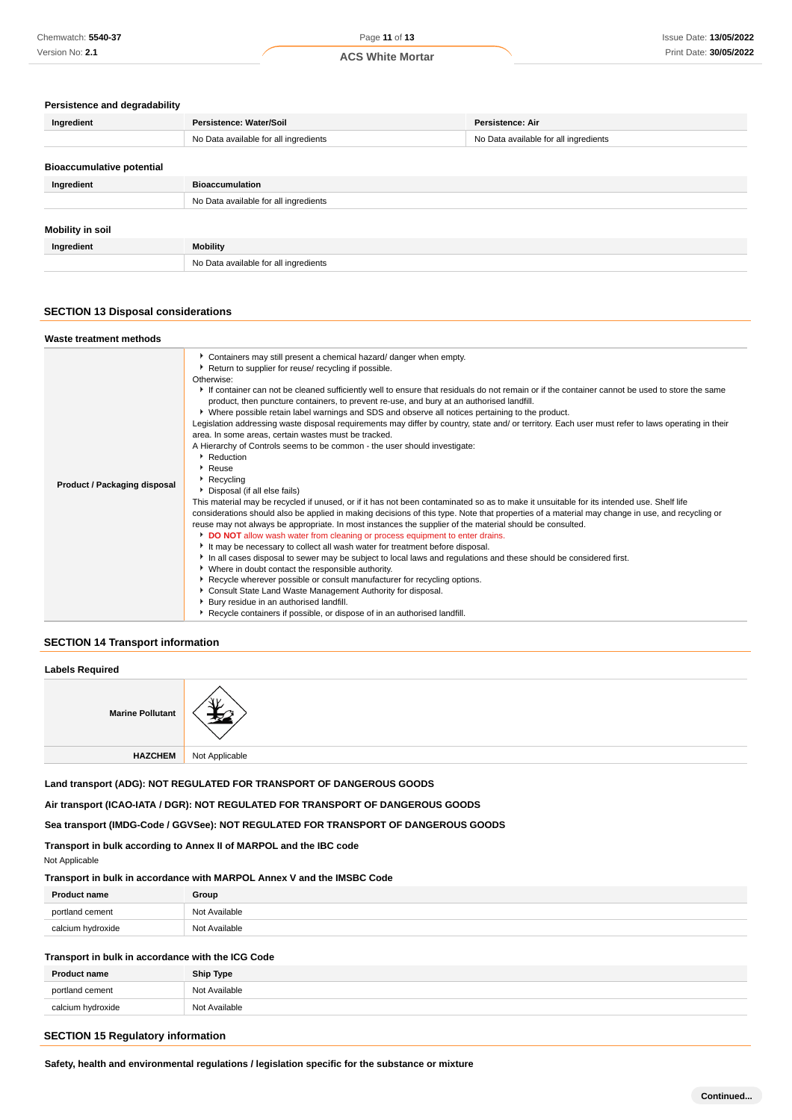#### **Persistence and degradability**

| Ingredient                       | Persistence: Water/Soil               | Persistence: Air                      |  |
|----------------------------------|---------------------------------------|---------------------------------------|--|
|                                  | No Data available for all ingredients | No Data available for all ingredients |  |
| <b>Bioaccumulative potential</b> |                                       |                                       |  |
|                                  |                                       |                                       |  |
| Ingredient                       | <b>Bioaccumulation</b>                |                                       |  |
|                                  | No Data available for all ingredients |                                       |  |
|                                  |                                       |                                       |  |
| Mobility in soil                 |                                       |                                       |  |
| Ingredient                       | <b>Mobility</b>                       |                                       |  |
|                                  | No Data available for all ingredients |                                       |  |

# **SECTION 13 Disposal considerations**

| Waste treatment methods             |                                                                                                                                                                                                                                                                                                                                                                                                                                                                                                                                                                                                                                                                                                                                                                                                                                                                                                                                                                                                                                                                                                                                                                                                                                                                                                                                                                                                                                                                                                                                                                                                                                                                                                                                                                                                                                                                                               |
|-------------------------------------|-----------------------------------------------------------------------------------------------------------------------------------------------------------------------------------------------------------------------------------------------------------------------------------------------------------------------------------------------------------------------------------------------------------------------------------------------------------------------------------------------------------------------------------------------------------------------------------------------------------------------------------------------------------------------------------------------------------------------------------------------------------------------------------------------------------------------------------------------------------------------------------------------------------------------------------------------------------------------------------------------------------------------------------------------------------------------------------------------------------------------------------------------------------------------------------------------------------------------------------------------------------------------------------------------------------------------------------------------------------------------------------------------------------------------------------------------------------------------------------------------------------------------------------------------------------------------------------------------------------------------------------------------------------------------------------------------------------------------------------------------------------------------------------------------------------------------------------------------------------------------------------------------|
| <b>Product / Packaging disposal</b> | Containers may still present a chemical hazard/ danger when empty.<br>▶ Return to supplier for reuse/ recycling if possible.<br>Otherwise:<br>If container can not be cleaned sufficiently well to ensure that residuals do not remain or if the container cannot be used to store the same<br>product, then puncture containers, to prevent re-use, and bury at an authorised landfill.<br>▶ Where possible retain label warnings and SDS and observe all notices pertaining to the product.<br>Legislation addressing waste disposal requirements may differ by country, state and/ or territory. Each user must refer to laws operating in their<br>area. In some areas, certain wastes must be tracked.<br>A Hierarchy of Controls seems to be common - the user should investigate:<br>• Reduction<br>▸ Reuse<br>Recycling<br>▶ Disposal (if all else fails)<br>This material may be recycled if unused, or if it has not been contaminated so as to make it unsuitable for its intended use. Shelf life<br>considerations should also be applied in making decisions of this type. Note that properties of a material may change in use, and recycling or<br>reuse may not always be appropriate. In most instances the supplier of the material should be consulted.<br>DO NOT allow wash water from cleaning or process equipment to enter drains.<br>If It may be necessary to collect all wash water for treatment before disposal.<br>In all cases disposal to sewer may be subject to local laws and regulations and these should be considered first.<br>• Where in doubt contact the responsible authority.<br>▶ Recycle wherever possible or consult manufacturer for recycling options.<br>Consult State Land Waste Management Authority for disposal.<br>Bury residue in an authorised landfill.<br>Recycle containers if possible, or dispose of in an authorised landfill. |

#### **SECTION 14 Transport information**

# **Labels Required**

| <b>Marine Pollutant</b> | ~~             |
|-------------------------|----------------|
| <b>HAZCHEM</b>          | Not Applicable |

**Land transport (ADG): NOT REGULATED FOR TRANSPORT OF DANGEROUS GOODS**

**Air transport (ICAO-IATA / DGR): NOT REGULATED FOR TRANSPORT OF DANGEROUS GOODS**

**Sea transport (IMDG-Code / GGVSee): NOT REGULATED FOR TRANSPORT OF DANGEROUS GOODS**

**Transport in bulk according to Annex II of MARPOL and the IBC code**

Not Applicable

**Transport in bulk in accordance with MARPOL Annex V and the IMSBC Code**

| <b>Product name</b> | Group         |
|---------------------|---------------|
| portland cement     | Not Available |
| calcium hydroxide   | Not Available |

#### **Transport in bulk in accordance with the ICG Code**

| <b>Drc</b><br>∶name | <b>Ship Type</b>   |
|---------------------|--------------------|
| comon<br>nor        | Available<br>∧l∩t  |
| calc                | Available<br>ا ۱۵۰ |

# **SECTION 15 Regulatory information**

**Safety, health and environmental regulations / legislation specific for the substance or mixture**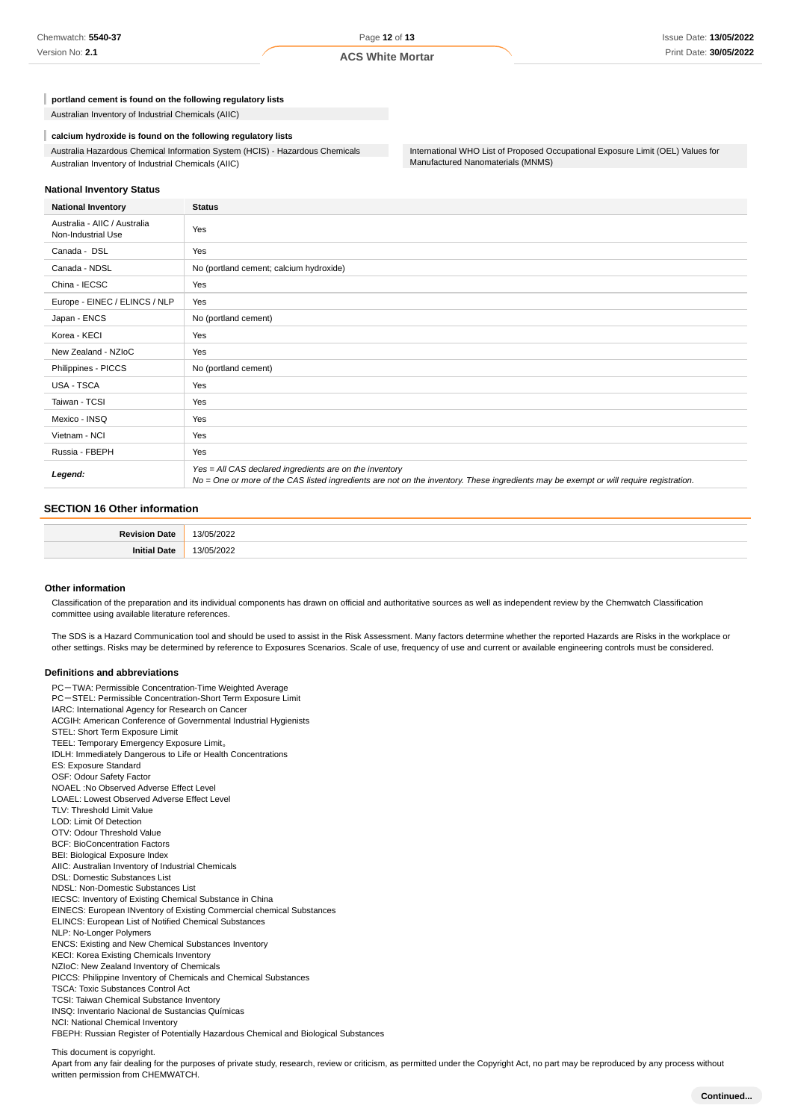**portland cement is found on the following regulatory lists**

Australian Inventory of Industrial Chemicals (AIIC)

**calcium hydroxide is found on the following regulatory lists**

Australia Hazardous Chemical Information System (HCIS) - Hazardous Chemicals Australian Inventory of Industrial Chemicals (AIIC)

International WHO List of Proposed Occupational Exposure Limit (OEL) Values for Manufactured Nanomaterials (MNMS)

#### **National Inventory Status**

| <b>National Inventory</b>                          | <b>Status</b>                                                                                                                                                                                     |
|----------------------------------------------------|---------------------------------------------------------------------------------------------------------------------------------------------------------------------------------------------------|
| Australia - AIIC / Australia<br>Non-Industrial Use | Yes                                                                                                                                                                                               |
| Canada - DSL                                       | Yes                                                                                                                                                                                               |
| Canada - NDSL                                      | No (portland cement; calcium hydroxide)                                                                                                                                                           |
| China - IECSC                                      | Yes                                                                                                                                                                                               |
| Europe - EINEC / ELINCS / NLP                      | Yes                                                                                                                                                                                               |
| Japan - ENCS                                       | No (portland cement)                                                                                                                                                                              |
| Korea - KECI                                       | Yes                                                                                                                                                                                               |
| New Zealand - NZIoC                                | Yes                                                                                                                                                                                               |
| Philippines - PICCS                                | No (portland cement)                                                                                                                                                                              |
| USA - TSCA                                         | Yes                                                                                                                                                                                               |
| Taiwan - TCSI                                      | Yes                                                                                                                                                                                               |
| Mexico - INSQ                                      | Yes                                                                                                                                                                                               |
| Vietnam - NCI                                      | Yes                                                                                                                                                                                               |
| Russia - FBEPH                                     | Yes                                                                                                                                                                                               |
| Legend:                                            | Yes = All CAS declared ingredients are on the inventory<br>No = One or more of the CAS listed ingredients are not on the inventory. These ingredients may be exempt or will require registration. |

#### **SECTION 16 Other information**

| <b>Daview</b> |      |
|---------------|------|
| ,,,,,         | . ני |
| 1916          | ີລ   |

#### **Other information**

Classification of the preparation and its individual components has drawn on official and authoritative sources as well as independent review by the Chemwatch Classification committee using available literature references.

The SDS is a Hazard Communication tool and should be used to assist in the Risk Assessment. Many factors determine whether the reported Hazards are Risks in the workplace or other settings. Risks may be determined by reference to Exposures Scenarios. Scale of use, frequency of use and current or available engineering controls must be considered.

#### **Definitions and abbreviations**

PC-TWA: Permissible Concentration-Time Weighted Average PC-STEL: Permissible Concentration-Short Term Exposure Limit IARC: International Agency for Research on Cancer ACGIH: American Conference of Governmental Industrial Hygienists STEL: Short Term Exposure Limit TEEL: Temporary Emergency Exposure Limit。 IDLH: Immediately Dangerous to Life or Health Concentrations ES: Exposure Standard OSF: Odour Safety Factor NOAEL :No Observed Adverse Effect Level LOAEL: Lowest Observed Adverse Effect Level TLV: Threshold Limit Value LOD: Limit Of Detection OTV: Odour Threshold Value BCF: BioConcentration Factors BEI: Biological Exposure Index AIIC: Australian Inventory of Industrial Chemicals DSL: Domestic Substances List NDSL: Non-Domestic Substances List IECSC: Inventory of Existing Chemical Substance in China EINECS: European INventory of Existing Commercial chemical Substances ELINCS: European List of Notified Chemical Substances NLP: No-Longer Polymers ENCS: Existing and New Chemical Substances Inventory KECI: Korea Existing Chemicals Inventory NZIoC: New Zealand Inventory of Chemicals PICCS: Philippine Inventory of Chemicals and Chemical Substances TSCA: Toxic Substances Control Act TCSI: Taiwan Chemical Substance Inventory INSQ: Inventario Nacional de Sustancias Químicas NCI: National Chemical Inventory FBEPH: Russian Register of Potentially Hazardous Chemical and Biological Substances

This document is copyright.

Apart from any fair dealing for the purposes of private study, research, review or criticism, as permitted under the Copyright Act, no part may be reproduced by any process without written permission from CHEMWATCH.